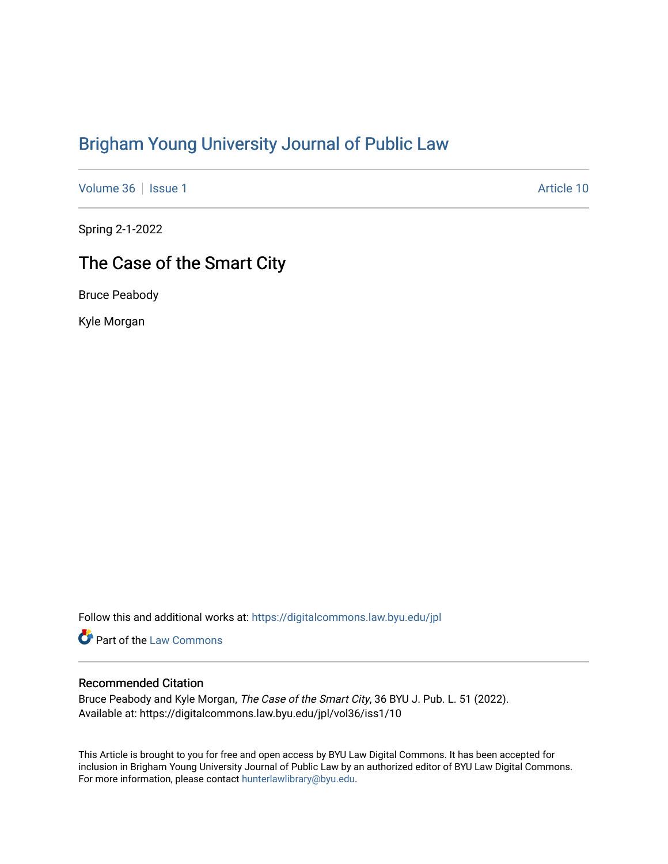# [Brigham Young University Journal of Public Law](https://digitalcommons.law.byu.edu/jpl)

[Volume 36](https://digitalcommons.law.byu.edu/jpl/vol36) | [Issue 1](https://digitalcommons.law.byu.edu/jpl/vol36/iss1) Article 10

Spring 2-1-2022

# The Case of the Smart City

Bruce Peabody

Kyle Morgan

Follow this and additional works at: [https://digitalcommons.law.byu.edu/jpl](https://digitalcommons.law.byu.edu/jpl?utm_source=digitalcommons.law.byu.edu%2Fjpl%2Fvol36%2Fiss1%2F10&utm_medium=PDF&utm_campaign=PDFCoverPages) 

Part of the [Law Commons](http://network.bepress.com/hgg/discipline/578?utm_source=digitalcommons.law.byu.edu%2Fjpl%2Fvol36%2Fiss1%2F10&utm_medium=PDF&utm_campaign=PDFCoverPages)

## Recommended Citation

Bruce Peabody and Kyle Morgan, The Case of the Smart City, 36 BYU J. Pub. L. 51 (2022). Available at: https://digitalcommons.law.byu.edu/jpl/vol36/iss1/10

This Article is brought to you for free and open access by BYU Law Digital Commons. It has been accepted for inclusion in Brigham Young University Journal of Public Law by an authorized editor of BYU Law Digital Commons. For more information, please contact [hunterlawlibrary@byu.edu](mailto:hunterlawlibrary@byu.edu).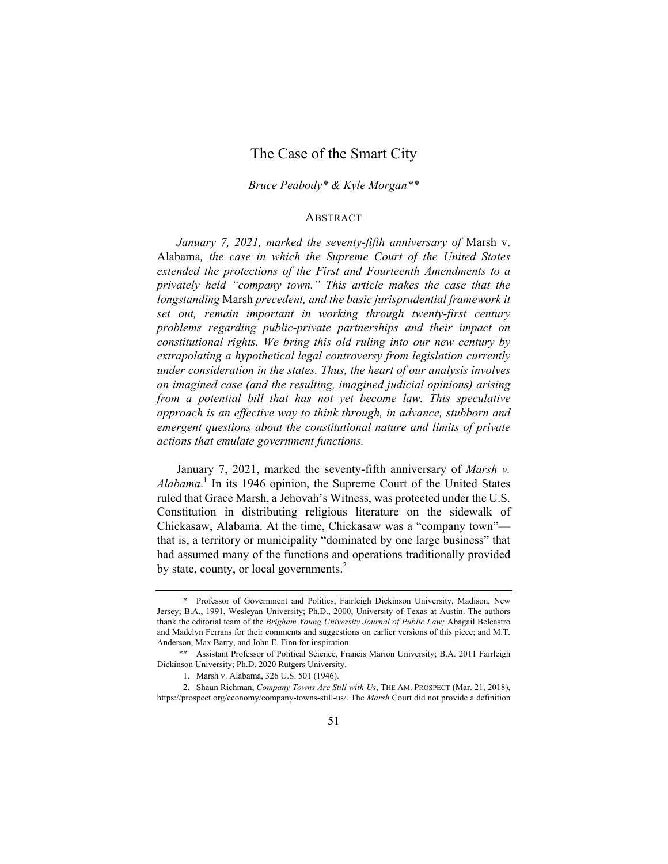# The Case of the Smart City

#### *Bruce Peabody\* & Kyle Morgan\*\**

#### ABSTRACT

*January 7, 2021, marked the seventy-fifth anniversary of* Marsh v. Alabama*, the case in which the Supreme Court of the United States extended the protections of the First and Fourteenth Amendments to a privately held "company town." This article makes the case that the longstanding* Marsh *precedent, and the basic jurisprudential framework it set out, remain important in working through twenty-first century problems regarding public-private partnerships and their impact on constitutional rights. We bring this old ruling into our new century by extrapolating a hypothetical legal controversy from legislation currently under consideration in the states. Thus, the heart of our analysis involves an imagined case (and the resulting, imagined judicial opinions) arising from a potential bill that has not yet become law. This speculative approach is an effective way to think through, in advance, stubborn and emergent questions about the constitutional nature and limits of private actions that emulate government functions.* 

January 7, 2021, marked the seventy-fifth anniversary of *Marsh v. Alabama*. 1 In its 1946 opinion, the Supreme Court of the United States ruled that Grace Marsh, a Jehovah's Witness, was protected under the U.S. Constitution in distributing religious literature on the sidewalk of Chickasaw, Alabama. At the time, Chickasaw was a "company town" that is, a territory or municipality "dominated by one large business" that had assumed many of the functions and operations traditionally provided by state, county, or local governments.<sup>2</sup>

<sup>\*</sup> Professor of Government and Politics, Fairleigh Dickinson University, Madison, New Jersey; B.A., 1991, Wesleyan University; Ph.D., 2000, University of Texas at Austin. The authors thank the editorial team of the *Brigham Young University Journal of Public Law;* Abagail Belcastro and Madelyn Ferrans for their comments and suggestions on earlier versions of this piece; and M.T. Anderson, Max Barry, and John E. Finn for inspiration.

<sup>\*\*</sup> Assistant Professor of Political Science, Francis Marion University; B.A. 2011 Fairleigh Dickinson University; Ph.D. 2020 Rutgers University.

<sup>1.</sup> Marsh v. Alabama, 326 U.S. 501 (1946).

<sup>2.</sup> Shaun Richman, *Company Towns Are Still with Us*, THE AM. PROSPECT (Mar. 21, 2018), https://prospect.org/economy/company-towns-still-us/. The *Marsh* Court did not provide a definition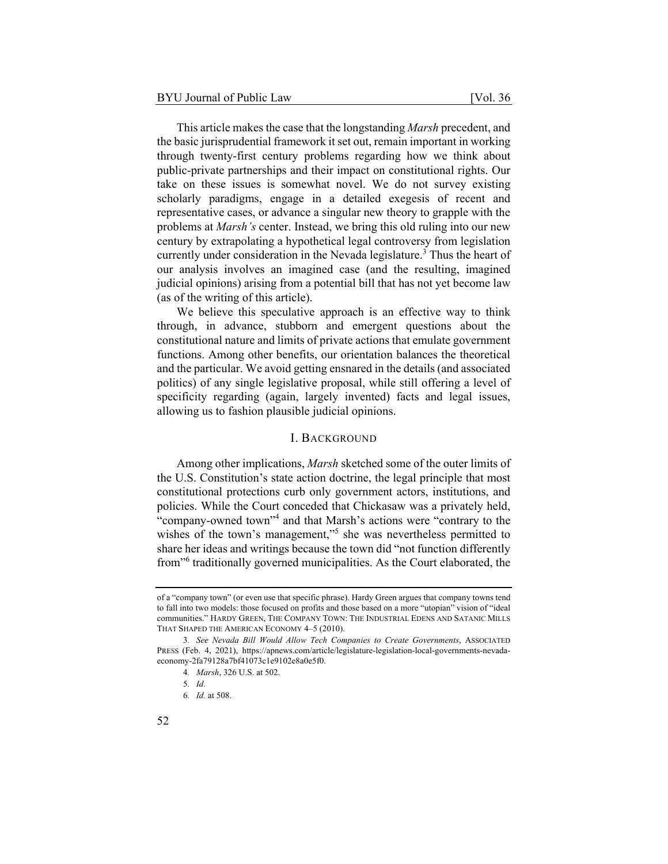This article makes the case that the longstanding *Marsh* precedent, and the basic jurisprudential framework it set out, remain important in working through twenty-first century problems regarding how we think about public-private partnerships and their impact on constitutional rights. Our take on these issues is somewhat novel. We do not survey existing scholarly paradigms, engage in a detailed exegesis of recent and representative cases, or advance a singular new theory to grapple with the problems at *Marsh's* center. Instead, we bring this old ruling into our new century by extrapolating a hypothetical legal controversy from legislation currently under consideration in the Nevada legislature.<sup>3</sup> Thus the heart of our analysis involves an imagined case (and the resulting, imagined judicial opinions) arising from a potential bill that has not yet become law (as of the writing of this article).

We believe this speculative approach is an effective way to think through, in advance, stubborn and emergent questions about the constitutional nature and limits of private actions that emulate government functions. Among other benefits, our orientation balances the theoretical and the particular. We avoid getting ensnared in the details (and associated politics) of any single legislative proposal, while still offering a level of specificity regarding (again, largely invented) facts and legal issues, allowing us to fashion plausible judicial opinions.

### I. BACKGROUND

Among other implications, *Marsh* sketched some of the outer limits of the U.S. Constitution's state action doctrine, the legal principle that most constitutional protections curb only government actors, institutions, and policies. While the Court conceded that Chickasaw was a privately held, "company-owned town"<sup>4</sup> and that Marsh's actions were "contrary to the wishes of the town's management,"<sup>5</sup> she was nevertheless permitted to share her ideas and writings because the town did "not function differently from"<sup>6</sup> traditionally governed municipalities. As the Court elaborated, the

of a "company town" (or even use that specific phrase). Hardy Green argues that company towns tend to fall into two models: those focused on profits and those based on a more "utopian" vision of "ideal communities." HARDY GREEN, THE COMPANY TOWN: THE INDUSTRIAL EDENS AND SATANIC MILLS THAT SHAPED THE AMERICAN ECONOMY 4–5 (2010).

<sup>3</sup>*. See Nevada Bill Would Allow Tech Companies to Create Governments*, ASSOCIATED PRESS (Feb. 4, 2021), https://apnews.com/article/legislature-legislation-local-governments-nevadaeconomy-2fa79128a7bf41073c1e9102e8a0e5f0.

<sup>4</sup>*. Marsh*, 326 U.S. at 502.

<sup>5</sup>*. Id.*

<sup>6</sup>*. Id.* at 508.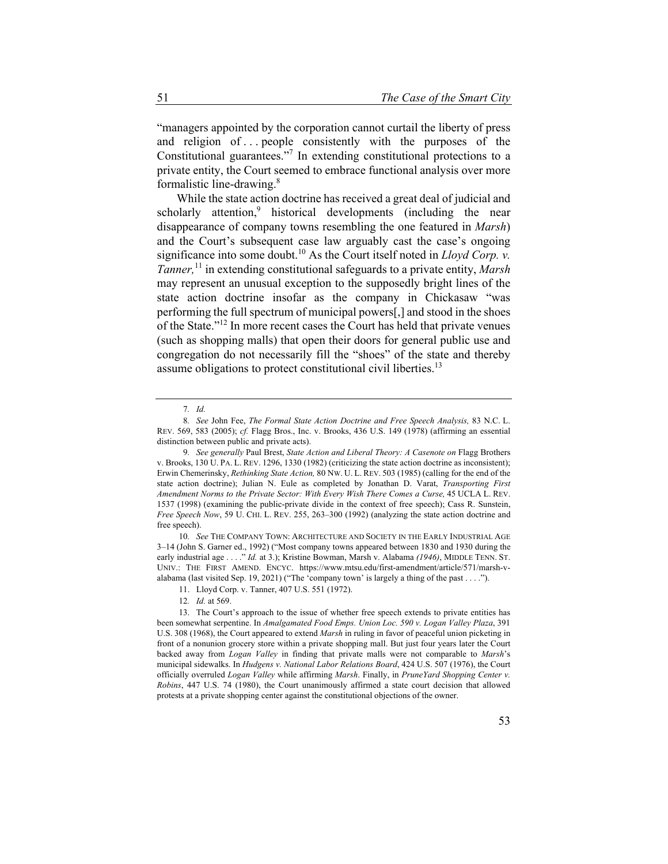"managers appointed by the corporation cannot curtail the liberty of press and religion of ... people consistently with the purposes of the Constitutional guarantees."<sup>7</sup> In extending constitutional protections to a private entity, the Court seemed to embrace functional analysis over more formalistic line-drawing.8

While the state action doctrine has received a great deal of judicial and scholarly attention,<sup>9</sup> historical developments (including the near disappearance of company towns resembling the one featured in *Marsh*) and the Court's subsequent case law arguably cast the case's ongoing significance into some doubt.<sup>10</sup> As the Court itself noted in *Lloyd Corp. v. Tanner,*11 in extending constitutional safeguards to a private entity, *Marsh* may represent an unusual exception to the supposedly bright lines of the state action doctrine insofar as the company in Chickasaw "was performing the full spectrum of municipal powers[,] and stood in the shoes of the State."12 In more recent cases the Court has held that private venues (such as shopping malls) that open their doors for general public use and congregation do not necessarily fill the "shoes" of the state and thereby assume obligations to protect constitutional civil liberties.<sup>13</sup>

10*. See* THE COMPANY TOWN: ARCHITECTURE AND SOCIETY IN THE EARLY INDUSTRIAL AGE 3–14 (John S. Garner ed., 1992) ("Most company towns appeared between 1830 and 1930 during the early industrial age . . . ." *Id.* at 3.); Kristine Bowman, Marsh v. Alabama *(1946)*, MIDDLE TENN. ST. UNIV.: THE FIRST AMEND. ENCYC. https://www.mtsu.edu/first-amendment/article/571/marsh-valabama (last visited Sep. 19, 2021) ("The 'company town' is largely a thing of the past . . . .").

<sup>7</sup>*. Id.*

<sup>8</sup>*. See* John Fee, *The Formal State Action Doctrine and Free Speech Analysis,* 83 N.C. L. REV. 569, 583 (2005); *cf.* Flagg Bros., Inc. v. Brooks, 436 U.S. 149 (1978) (affirming an essential distinction between public and private acts).

<sup>9</sup>*. See generally* Paul Brest, *State Action and Liberal Theory: A Casenote on* Flagg Brothers v. Brooks, 130 U. PA. L. REV. 1296, 1330 (1982) (criticizing the state action doctrine as inconsistent); Erwin Chemerinsky, *Rethinking State Action,* 80 NW. U. L. REV. 503 (1985) (calling for the end of the state action doctrine); Julian N. Eule as completed by Jonathan D. Varat, *Transporting First Amendment Norms to the Private Sector: With Every Wish There Comes a Curse,* 45 UCLA L. REV. 1537 (1998) (examining the public-private divide in the context of free speech); Cass R. Sunstein, *Free Speech Now*, 59 U. CHI. L. REV. 255, 263–300 (1992) (analyzing the state action doctrine and free speech).

<sup>11.</sup> Lloyd Corp. v. Tanner, 407 U.S. 551 (1972).

<sup>12</sup>*. Id.* at 569.

<sup>13.</sup> The Court's approach to the issue of whether free speech extends to private entities has been somewhat serpentine. In *Amalgamated Food Emps. Union Loc. 590 v. Logan Valley Plaza*, 391 U.S. 308 (1968), the Court appeared to extend *Marsh* in ruling in favor of peaceful union picketing in front of a nonunion grocery store within a private shopping mall. But just four years later the Court backed away from *Logan Valley* in finding that private malls were not comparable to *Marsh*'s municipal sidewalks. In *Hudgens v. National Labor Relations Board*, 424 U.S. 507 (1976), the Court officially overruled *Logan Valley* while affirming *Marsh*. Finally, in *PruneYard Shopping Center v. Robins*, 447 U.S. 74 (1980), the Court unanimously affirmed a state court decision that allowed protests at a private shopping center against the constitutional objections of the owner.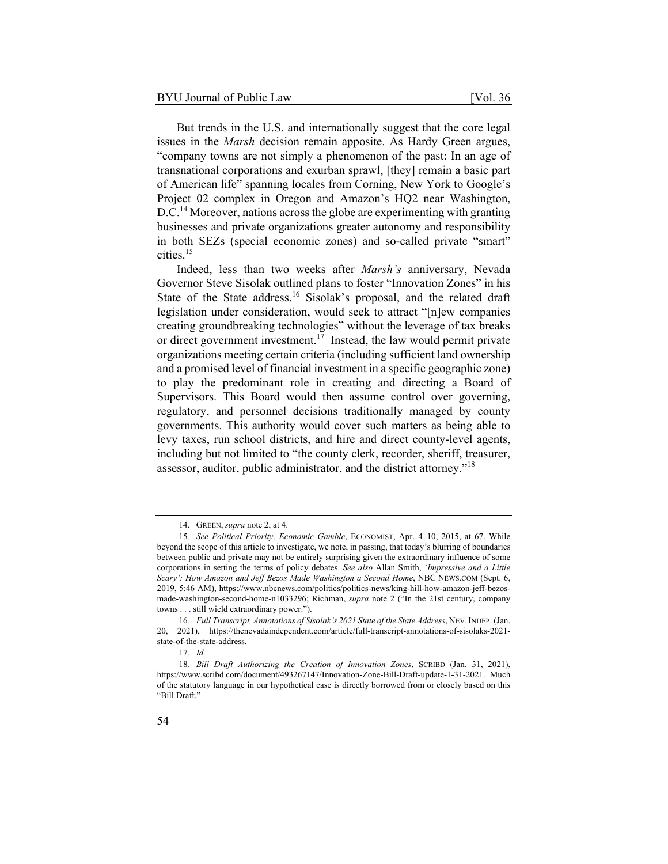But trends in the U.S. and internationally suggest that the core legal issues in the *Marsh* decision remain apposite. As Hardy Green argues, "company towns are not simply a phenomenon of the past: In an age of transnational corporations and exurban sprawl, [they] remain a basic part of American life" spanning locales from Corning, New York to Google's Project 02 complex in Oregon and Amazon's HQ2 near Washington, D.C.<sup>14</sup> Moreover, nations across the globe are experimenting with granting businesses and private organizations greater autonomy and responsibility in both SEZs (special economic zones) and so-called private "smart" cities.<sup>15</sup>

Indeed, less than two weeks after *Marsh's* anniversary, Nevada Governor Steve Sisolak outlined plans to foster "Innovation Zones" in his State of the State address.<sup>16</sup> Sisolak's proposal, and the related draft legislation under consideration, would seek to attract "[n]ew companies creating groundbreaking technologies" without the leverage of tax breaks or direct government investment.<sup>17</sup> Instead, the law would permit private organizations meeting certain criteria (including sufficient land ownership and a promised level of financial investment in a specific geographic zone) to play the predominant role in creating and directing a Board of Supervisors. This Board would then assume control over governing, regulatory, and personnel decisions traditionally managed by county governments. This authority would cover such matters as being able to levy taxes, run school districts, and hire and direct county-level agents, including but not limited to "the county clerk, recorder, sheriff, treasurer, assessor, auditor, public administrator, and the district attorney."18

<sup>14.</sup> GREEN, *supra* note 2, at 4.

<sup>15</sup>*. See Political Priority, Economic Gamble*, ECONOMIST, Apr. 4–10, 2015, at 67. While beyond the scope of this article to investigate, we note, in passing, that today's blurring of boundaries between public and private may not be entirely surprising given the extraordinary influence of some corporations in setting the terms of policy debates. *See also* Allan Smith, *'Impressive and a Little Scary': How Amazon and Jeff Bezos Made Washington a Second Home*, NBC NEWS.COM (Sept. 6, 2019, 5:46 AM), https://www.nbcnews.com/politics/politics-news/king-hill-how-amazon-jeff-bezosmade-washington-second-home-n1033296; Richman, *supra* note 2 ("In the 21st century, company towns . . . still wield extraordinary power.").

<sup>16</sup>*. Full Transcript, Annotations of Sisolak's 2021 State of the State Address*, NEV.INDEP. (Jan. 20, 2021), https://thenevadaindependent.com/article/full-transcript-annotations-of-sisolaks-2021 state-of-the-state-address.

<sup>17</sup>*. Id.*

<sup>18</sup>*. Bill Draft Authorizing the Creation of Innovation Zones*, SCRIBD (Jan. 31, 2021), https://www.scribd.com/document/493267147/Innovation-Zone-Bill-Draft-update-1-31-2021. Much of the statutory language in our hypothetical case is directly borrowed from or closely based on this "Bill Draft."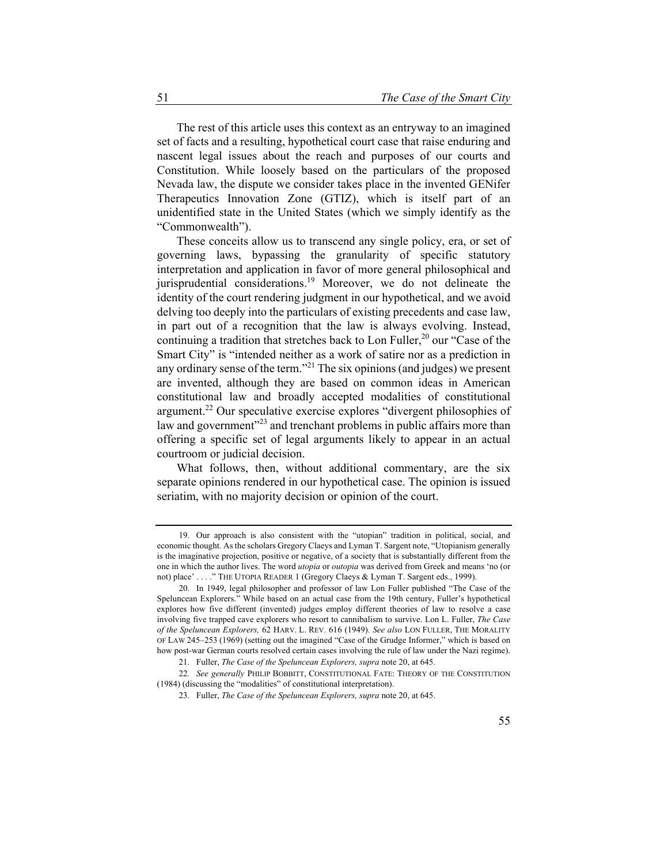The rest of this article uses this context as an entryway to an imagined set of facts and a resulting, hypothetical court case that raise enduring and nascent legal issues about the reach and purposes of our courts and Constitution. While loosely based on the particulars of the proposed Nevada law, the dispute we consider takes place in the invented GENifer Therapeutics Innovation Zone (GTIZ), which is itself part of an unidentified state in the United States (which we simply identify as the "Commonwealth").

These conceits allow us to transcend any single policy, era, or set of governing laws, bypassing the granularity of specific statutory interpretation and application in favor of more general philosophical and jurisprudential considerations.<sup>19</sup> Moreover, we do not delineate the identity of the court rendering judgment in our hypothetical, and we avoid delving too deeply into the particulars of existing precedents and case law, in part out of a recognition that the law is always evolving. Instead, continuing a tradition that stretches back to Lon Fuller,<sup>20</sup> our "Case of the Smart City" is "intended neither as a work of satire nor as a prediction in any ordinary sense of the term."<sup>21</sup> The six opinions (and judges) we present are invented, although they are based on common ideas in American constitutional law and broadly accepted modalities of constitutional argument.<sup>22</sup> Our speculative exercise explores "divergent philosophies of law and government<sup>323</sup> and trenchant problems in public affairs more than offering a specific set of legal arguments likely to appear in an actual courtroom or judicial decision.

What follows, then, without additional commentary, are the six separate opinions rendered in our hypothetical case. The opinion is issued seriatim, with no majority decision or opinion of the court.

<sup>19.</sup> Our approach is also consistent with the "utopian" tradition in political, social, and economic thought. As the scholars Gregory Claeys and Lyman T. Sargent note, "Utopianism generally is the imaginative projection, positive or negative, of a society that is substantially different from the one in which the author lives. The word *utopia* or *outopia* was derived from Greek and means 'no (or not) place' . . . ." THE UTOPIA READER 1 (Gregory Claeys & Lyman T. Sargent eds., 1999).

<sup>20.</sup> In 1949, legal philosopher and professor of law Lon Fuller published "The Case of the Speluncean Explorers." While based on an actual case from the 19th century, Fuller's hypothetical explores how five different (invented) judges employ different theories of law to resolve a case involving five trapped cave explorers who resort to cannibalism to survive. Lon L. Fuller, *The Case of the Speluncean Explorers,* 62 HARV. L. REV. 616 (1949). *See also* LON FULLER, THE MORALITY OF LAW 245–253 (1969) (setting out the imagined "Case of the Grudge Informer," which is based on how post-war German courts resolved certain cases involving the rule of law under the Nazi regime).

<sup>21.</sup> Fuller, *The Case of the Speluncean Explorers, supra* note 20, at 645.

<sup>22</sup>*. See generally* PHILIP BOBBITT, CONSTITUTIONAL FATE: THEORY OF THE CONSTITUTION (1984) (discussing the "modalities" of constitutional interpretation).

<sup>23.</sup> Fuller, *The Case of the Speluncean Explorers, supra* note 20, at 645.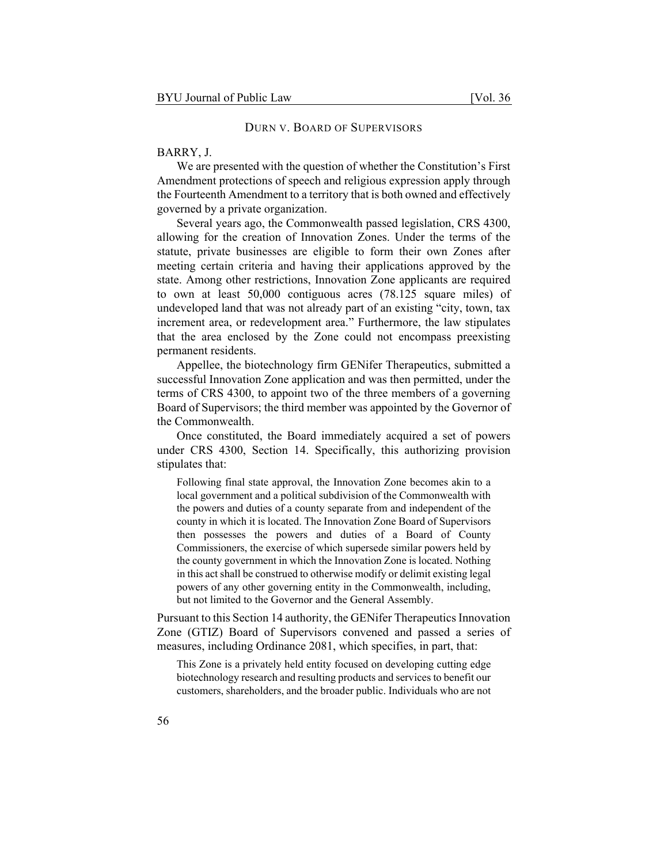#### DURN V. BOARD OF SUPERVISORS

#### BARRY, J.

We are presented with the question of whether the Constitution's First Amendment protections of speech and religious expression apply through the Fourteenth Amendment to a territory that is both owned and effectively governed by a private organization.

Several years ago, the Commonwealth passed legislation, CRS 4300, allowing for the creation of Innovation Zones. Under the terms of the statute, private businesses are eligible to form their own Zones after meeting certain criteria and having their applications approved by the state. Among other restrictions, Innovation Zone applicants are required to own at least 50,000 contiguous acres (78.125 square miles) of undeveloped land that was not already part of an existing "city, town, tax increment area, or redevelopment area." Furthermore, the law stipulates that the area enclosed by the Zone could not encompass preexisting permanent residents.

Appellee, the biotechnology firm GENifer Therapeutics, submitted a successful Innovation Zone application and was then permitted, under the terms of CRS 4300, to appoint two of the three members of a governing Board of Supervisors; the third member was appointed by the Governor of the Commonwealth.

Once constituted, the Board immediately acquired a set of powers under CRS 4300, Section 14. Specifically, this authorizing provision stipulates that:

Following final state approval, the Innovation Zone becomes akin to a local government and a political subdivision of the Commonwealth with the powers and duties of a county separate from and independent of the county in which it is located. The Innovation Zone Board of Supervisors then possesses the powers and duties of a Board of County Commissioners, the exercise of which supersede similar powers held by the county government in which the Innovation Zone is located. Nothing in this act shall be construed to otherwise modify or delimit existing legal powers of any other governing entity in the Commonwealth, including, but not limited to the Governor and the General Assembly.

Pursuant to this Section 14 authority, the GENifer Therapeutics Innovation Zone (GTIZ) Board of Supervisors convened and passed a series of measures, including Ordinance 2081, which specifies, in part, that:

This Zone is a privately held entity focused on developing cutting edge biotechnology research and resulting products and services to benefit our customers, shareholders, and the broader public. Individuals who are not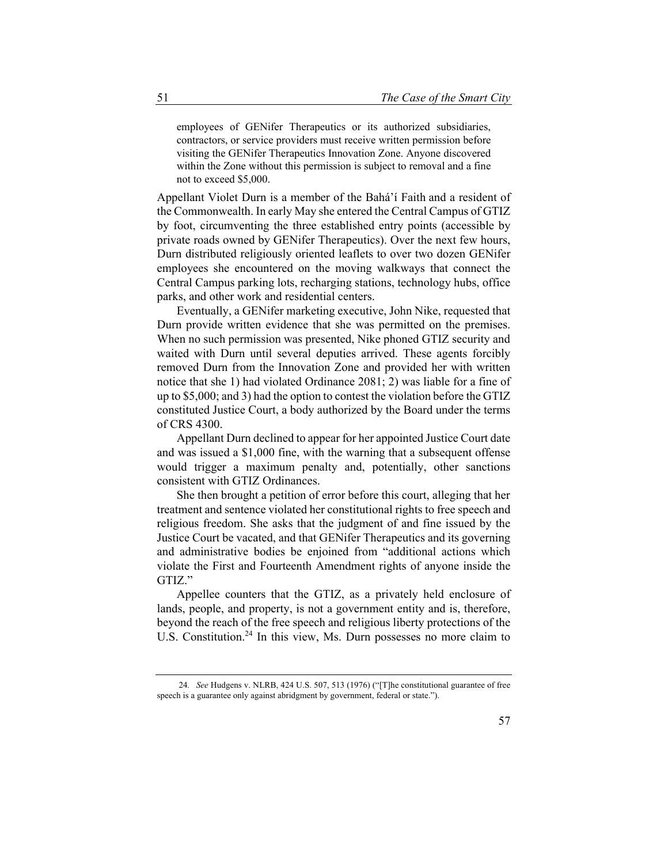employees of GENifer Therapeutics or its authorized subsidiaries, contractors, or service providers must receive written permission before visiting the GENifer Therapeutics Innovation Zone. Anyone discovered within the Zone without this permission is subject to removal and a fine not to exceed \$5,000.

Appellant Violet Durn is a member of the Bahá'í Faith and a resident of the Commonwealth. In early May she entered the Central Campus of GTIZ by foot, circumventing the three established entry points (accessible by private roads owned by GENifer Therapeutics). Over the next few hours, Durn distributed religiously oriented leaflets to over two dozen GENifer employees she encountered on the moving walkways that connect the Central Campus parking lots, recharging stations, technology hubs, office parks, and other work and residential centers.

Eventually, a GENifer marketing executive, John Nike, requested that Durn provide written evidence that she was permitted on the premises. When no such permission was presented, Nike phoned GTIZ security and waited with Durn until several deputies arrived. These agents forcibly removed Durn from the Innovation Zone and provided her with written notice that she 1) had violated Ordinance 2081; 2) was liable for a fine of up to \$5,000; and 3) had the option to contest the violation before the GTIZ constituted Justice Court, a body authorized by the Board under the terms of CRS 4300.

Appellant Durn declined to appear for her appointed Justice Court date and was issued a \$1,000 fine, with the warning that a subsequent offense would trigger a maximum penalty and, potentially, other sanctions consistent with GTIZ Ordinances.

She then brought a petition of error before this court, alleging that her treatment and sentence violated her constitutional rights to free speech and religious freedom. She asks that the judgment of and fine issued by the Justice Court be vacated, and that GENifer Therapeutics and its governing and administrative bodies be enjoined from "additional actions which violate the First and Fourteenth Amendment rights of anyone inside the GTIZ."

Appellee counters that the GTIZ, as a privately held enclosure of lands, people, and property, is not a government entity and is, therefore, beyond the reach of the free speech and religious liberty protections of the U.S. Constitution.<sup>24</sup> In this view, Ms. Durn possesses no more claim to

<sup>24</sup>*. See* Hudgens v. NLRB, 424 U.S. 507, 513 (1976) ("[T]he constitutional guarantee of free speech is a guarantee only against abridgment by government, federal or state.").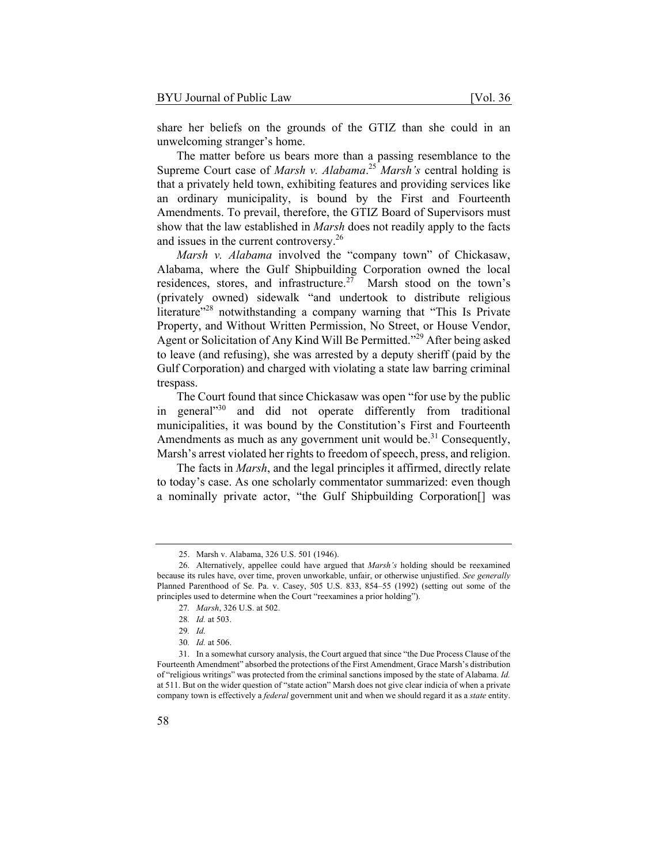share her beliefs on the grounds of the GTIZ than she could in an unwelcoming stranger's home.

The matter before us bears more than a passing resemblance to the Supreme Court case of *Marsh v. Alabama*. <sup>25</sup> *Marsh's* central holding is that a privately held town, exhibiting features and providing services like an ordinary municipality, is bound by the First and Fourteenth Amendments. To prevail, therefore, the GTIZ Board of Supervisors must show that the law established in *Marsh* does not readily apply to the facts and issues in the current controversy.26

*Marsh v. Alabama* involved the "company town" of Chickasaw, Alabama, where the Gulf Shipbuilding Corporation owned the local residences, stores, and infrastructure.<sup>27</sup> Marsh stood on the town's (privately owned) sidewalk "and undertook to distribute religious literature"<sup>28</sup> notwithstanding a company warning that "This Is Private Property, and Without Written Permission, No Street, or House Vendor, Agent or Solicitation of Any Kind Will Be Permitted."29 After being asked to leave (and refusing), she was arrested by a deputy sheriff (paid by the Gulf Corporation) and charged with violating a state law barring criminal trespass.

The Court found that since Chickasaw was open "for use by the public in general"<sup>30</sup> and did not operate differently from traditional municipalities, it was bound by the Constitution's First and Fourteenth Amendments as much as any government unit would be.<sup>31</sup> Consequently, Marsh's arrest violated her rights to freedom of speech, press, and religion.

The facts in *Marsh*, and the legal principles it affirmed, directly relate to today's case. As one scholarly commentator summarized: even though a nominally private actor, "the Gulf Shipbuilding Corporation[] was

<sup>25.</sup> Marsh v. Alabama, 326 U.S. 501 (1946).

<sup>26.</sup> Alternatively, appellee could have argued that *Marsh's* holding should be reexamined because its rules have, over time, proven unworkable, unfair, or otherwise unjustified. *See generally* Planned Parenthood of Se. Pa. v. Casey, 505 U.S. 833, 854–55 (1992) (setting out some of the principles used to determine when the Court "reexamines a prior holding").

<sup>27</sup>*. Marsh*, 326 U.S. at 502.

<sup>28</sup>*. Id.* at 503.

<sup>29</sup>*. Id.*

<sup>30</sup>*. Id.* at 506.

<sup>31.</sup> In a somewhat cursory analysis, the Court argued that since "the Due Process Clause of the Fourteenth Amendment" absorbed the protections of the First Amendment, Grace Marsh's distribution of "religious writings" was protected from the criminal sanctions imposed by the state of Alabama. *Id.* at 511. But on the wider question of "state action" Marsh does not give clear indicia of when a private company town is effectively a *federal* government unit and when we should regard it as a *state* entity.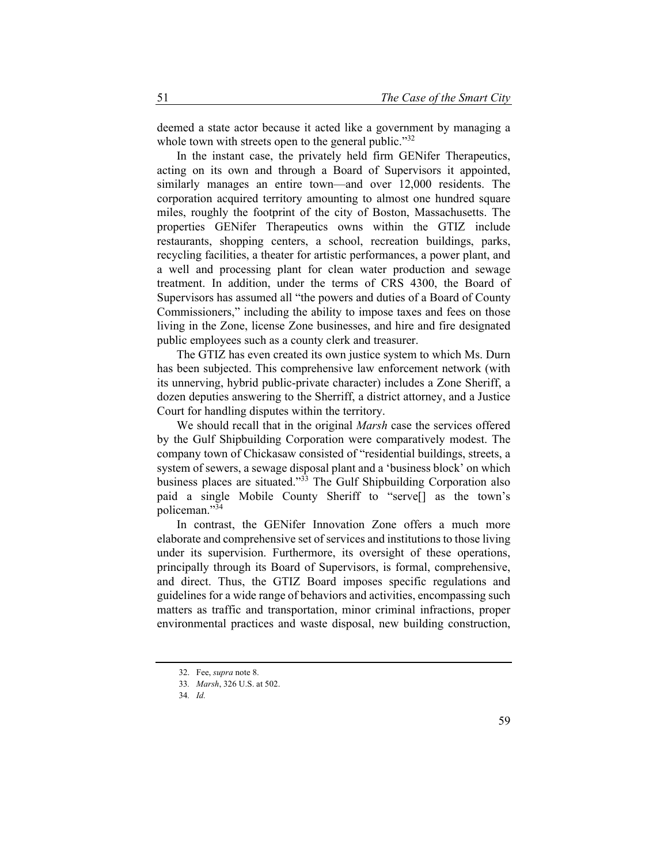deemed a state actor because it acted like a government by managing a whole town with streets open to the general public."<sup>32</sup>

In the instant case, the privately held firm GENifer Therapeutics, acting on its own and through a Board of Supervisors it appointed, similarly manages an entire town—and over 12,000 residents. The corporation acquired territory amounting to almost one hundred square miles, roughly the footprint of the city of Boston, Massachusetts. The properties GENifer Therapeutics owns within the GTIZ include restaurants, shopping centers, a school, recreation buildings, parks, recycling facilities, a theater for artistic performances, a power plant, and a well and processing plant for clean water production and sewage treatment. In addition, under the terms of CRS 4300, the Board of Supervisors has assumed all "the powers and duties of a Board of County Commissioners," including the ability to impose taxes and fees on those living in the Zone, license Zone businesses, and hire and fire designated public employees such as a county clerk and treasurer.

The GTIZ has even created its own justice system to which Ms. Durn has been subjected. This comprehensive law enforcement network (with its unnerving, hybrid public-private character) includes a Zone Sheriff, a dozen deputies answering to the Sherriff, a district attorney, and a Justice Court for handling disputes within the territory.

We should recall that in the original *Marsh* case the services offered by the Gulf Shipbuilding Corporation were comparatively modest. The company town of Chickasaw consisted of "residential buildings, streets, a system of sewers, a sewage disposal plant and a 'business block' on which business places are situated."<sup>33</sup> The Gulf Shipbuilding Corporation also paid a single Mobile County Sheriff to "serve[] as the town's policeman."<sup>34</sup>

In contrast, the GENifer Innovation Zone offers a much more elaborate and comprehensive set of services and institutions to those living under its supervision. Furthermore, its oversight of these operations, principally through its Board of Supervisors, is formal, comprehensive, and direct. Thus, the GTIZ Board imposes specific regulations and guidelines for a wide range of behaviors and activities, encompassing such matters as traffic and transportation, minor criminal infractions, proper environmental practices and waste disposal, new building construction,

<sup>32.</sup> Fee, *supra* note 8.

<sup>33</sup>*. Marsh*, 326 U.S. at 502.

<sup>34</sup>*. Id.*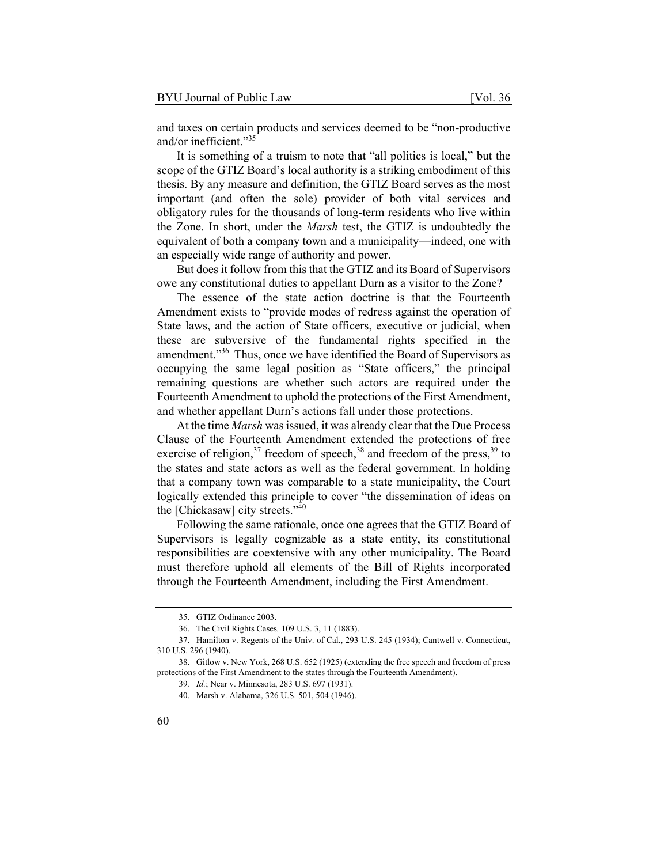and taxes on certain products and services deemed to be "non-productive and/or inefficient."35

It is something of a truism to note that "all politics is local," but the scope of the GTIZ Board's local authority is a striking embodiment of this thesis. By any measure and definition, the GTIZ Board serves as the most important (and often the sole) provider of both vital services and obligatory rules for the thousands of long-term residents who live within the Zone. In short, under the *Marsh* test, the GTIZ is undoubtedly the equivalent of both a company town and a municipality—indeed, one with an especially wide range of authority and power.

But does it follow from this that the GTIZ and its Board of Supervisors owe any constitutional duties to appellant Durn as a visitor to the Zone?

The essence of the state action doctrine is that the Fourteenth Amendment exists to "provide modes of redress against the operation of State laws, and the action of State officers, executive or judicial, when these are subversive of the fundamental rights specified in the amendment."36 Thus, once we have identified the Board of Supervisors as occupying the same legal position as "State officers," the principal remaining questions are whether such actors are required under the Fourteenth Amendment to uphold the protections of the First Amendment, and whether appellant Durn's actions fall under those protections.

At the time *Marsh* was issued, it was already clear that the Due Process Clause of the Fourteenth Amendment extended the protections of free exercise of religion,  $37$  freedom of speech,  $38$  and freedom of the press,  $39$  to the states and state actors as well as the federal government. In holding that a company town was comparable to a state municipality, the Court logically extended this principle to cover "the dissemination of ideas on the [Chickasaw] city streets."<sup>40</sup>

Following the same rationale, once one agrees that the GTIZ Board of Supervisors is legally cognizable as a state entity, its constitutional responsibilities are coextensive with any other municipality. The Board must therefore uphold all elements of the Bill of Rights incorporated through the Fourteenth Amendment, including the First Amendment.

<sup>35.</sup> GTIZ Ordinance 2003.

<sup>36.</sup> The Civil Rights Cases*,* 109 U.S. 3, 11 (1883).

<sup>37.</sup> Hamilton v. Regents of the Univ. of Cal., 293 U.S. 245 (1934); Cantwell v. Connecticut, 310 U.S. 296 (1940).

<sup>38.</sup> Gitlow v. New York, 268 U.S. 652 (1925) (extending the free speech and freedom of press protections of the First Amendment to the states through the Fourteenth Amendment).

<sup>39</sup>*. Id.*; Near v. Minnesota, 283 U.S. 697 (1931).

<sup>40.</sup> Marsh v. Alabama, 326 U.S. 501, 504 (1946).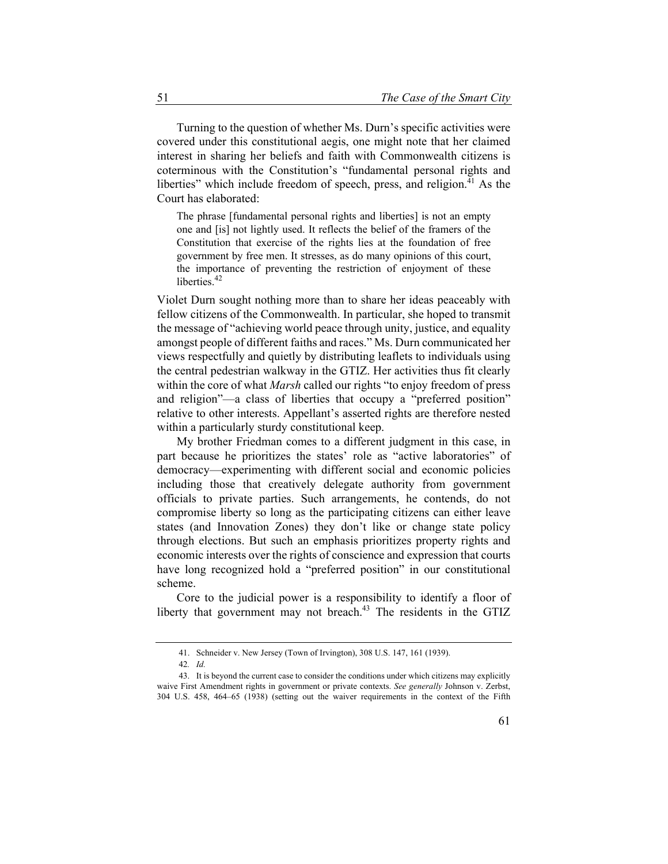Turning to the question of whether Ms. Durn's specific activities were covered under this constitutional aegis, one might note that her claimed interest in sharing her beliefs and faith with Commonwealth citizens is coterminous with the Constitution's "fundamental personal rights and liberties" which include freedom of speech, press, and religion.<sup>41</sup> As the Court has elaborated:

The phrase [fundamental personal rights and liberties] is not an empty one and [is] not lightly used. It reflects the belief of the framers of the Constitution that exercise of the rights lies at the foundation of free government by free men. It stresses, as do many opinions of this court, the importance of preventing the restriction of enjoyment of these liberties.<sup>42</sup>

Violet Durn sought nothing more than to share her ideas peaceably with fellow citizens of the Commonwealth. In particular, she hoped to transmit the message of "achieving world peace through unity, justice, and equality amongst people of different faiths and races." Ms. Durn communicated her views respectfully and quietly by distributing leaflets to individuals using the central pedestrian walkway in the GTIZ. Her activities thus fit clearly within the core of what *Marsh* called our rights "to enjoy freedom of press and religion"—a class of liberties that occupy a "preferred position" relative to other interests. Appellant's asserted rights are therefore nested within a particularly sturdy constitutional keep.

My brother Friedman comes to a different judgment in this case, in part because he prioritizes the states' role as "active laboratories" of democracy—experimenting with different social and economic policies including those that creatively delegate authority from government officials to private parties. Such arrangements, he contends, do not compromise liberty so long as the participating citizens can either leave states (and Innovation Zones) they don't like or change state policy through elections. But such an emphasis prioritizes property rights and economic interests over the rights of conscience and expression that courts have long recognized hold a "preferred position" in our constitutional scheme.

Core to the judicial power is a responsibility to identify a floor of liberty that government may not breach.<sup>43</sup> The residents in the GTIZ

<sup>41.</sup> Schneider v. New Jersey (Town of Irvington), 308 U.S. 147, 161 (1939).

<sup>42</sup>*. Id.*

<sup>43.</sup> It is beyond the current case to consider the conditions under which citizens may explicitly waive First Amendment rights in government or private contexts. *See generally* Johnson v. Zerbst, 304 U.S. 458, 464–65 (1938) (setting out the waiver requirements in the context of the Fifth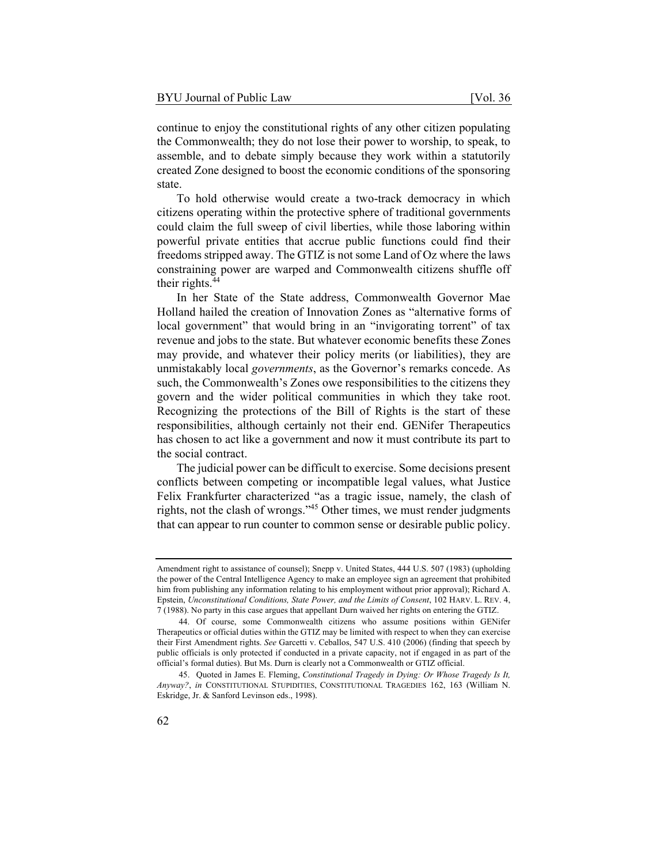continue to enjoy the constitutional rights of any other citizen populating the Commonwealth; they do not lose their power to worship, to speak, to assemble, and to debate simply because they work within a statutorily created Zone designed to boost the economic conditions of the sponsoring state.

To hold otherwise would create a two-track democracy in which citizens operating within the protective sphere of traditional governments could claim the full sweep of civil liberties, while those laboring within powerful private entities that accrue public functions could find their freedoms stripped away. The GTIZ is not some Land of Oz where the laws constraining power are warped and Commonwealth citizens shuffle off their rights.<sup>44</sup>

In her State of the State address, Commonwealth Governor Mae Holland hailed the creation of Innovation Zones as "alternative forms of local government" that would bring in an "invigorating torrent" of tax revenue and jobs to the state. But whatever economic benefits these Zones may provide, and whatever their policy merits (or liabilities), they are unmistakably local *governments*, as the Governor's remarks concede. As such, the Commonwealth's Zones owe responsibilities to the citizens they govern and the wider political communities in which they take root. Recognizing the protections of the Bill of Rights is the start of these responsibilities, although certainly not their end. GENifer Therapeutics has chosen to act like a government and now it must contribute its part to the social contract.

The judicial power can be difficult to exercise. Some decisions present conflicts between competing or incompatible legal values, what Justice Felix Frankfurter characterized "as a tragic issue, namely, the clash of rights, not the clash of wrongs."45 Other times, we must render judgments that can appear to run counter to common sense or desirable public policy.

Amendment right to assistance of counsel); Snepp v. United States, 444 U.S. 507 (1983) (upholding the power of the Central Intelligence Agency to make an employee sign an agreement that prohibited him from publishing any information relating to his employment without prior approval); Richard A. Epstein, *Unconstitutional Conditions, State Power, and the Limits of Consent*, 102 HARV. L. REV. 4, 7 (1988). No party in this case argues that appellant Durn waived her rights on entering the GTIZ.

<sup>44.</sup> Of course, some Commonwealth citizens who assume positions within GENifer Therapeutics or official duties within the GTIZ may be limited with respect to when they can exercise their First Amendment rights. *See* Garcetti v. Ceballos, 547 U.S. 410 (2006) (finding that speech by public officials is only protected if conducted in a private capacity, not if engaged in as part of the official's formal duties). But Ms. Durn is clearly not a Commonwealth or GTIZ official.

<sup>45.</sup> Quoted in James E. Fleming, *Constitutional Tragedy in Dying: Or Whose Tragedy Is It, Anyway?*, *in* CONSTITUTIONAL STUPIDITIES, CONSTITUTIONAL TRAGEDIES 162, 163 (William N. Eskridge, Jr. & Sanford Levinson eds., 1998).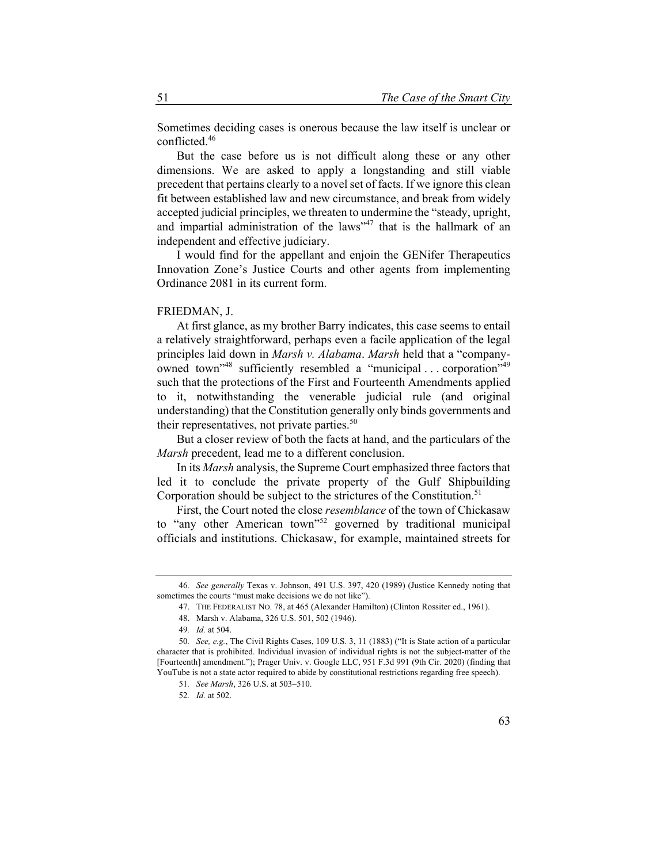Sometimes deciding cases is onerous because the law itself is unclear or conflicted.46

But the case before us is not difficult along these or any other dimensions. We are asked to apply a longstanding and still viable precedent that pertains clearly to a novel set of facts. If we ignore this clean fit between established law and new circumstance, and break from widely accepted judicial principles, we threaten to undermine the "steady, upright, and impartial administration of the laws" $47$  that is the hallmark of an independent and effective judiciary.

I would find for the appellant and enjoin the GENifer Therapeutics Innovation Zone's Justice Courts and other agents from implementing Ordinance 2081 in its current form.

## FRIEDMAN, J.

At first glance, as my brother Barry indicates, this case seems to entail a relatively straightforward, perhaps even a facile application of the legal principles laid down in *Marsh v. Alabama*. *Marsh* held that a "companyowned town"<sup>48</sup> sufficiently resembled a "municipal . . . corporation"<sup>49</sup> such that the protections of the First and Fourteenth Amendments applied to it, notwithstanding the venerable judicial rule (and original understanding) that the Constitution generally only binds governments and their representatives, not private parties. $50$ 

But a closer review of both the facts at hand, and the particulars of the *Marsh* precedent, lead me to a different conclusion.

In its *Marsh* analysis, the Supreme Court emphasized three factors that led it to conclude the private property of the Gulf Shipbuilding Corporation should be subject to the strictures of the Constitution.<sup>51</sup>

First, the Court noted the close *resemblance* of the town of Chickasaw to "any other American town"<sup>52</sup> governed by traditional municipal officials and institutions. Chickasaw, for example, maintained streets for

<sup>46</sup>*. See generally* Texas v. Johnson, 491 U.S. 397, 420 (1989) (Justice Kennedy noting that sometimes the courts "must make decisions we do not like").

<sup>47.</sup> THE FEDERALIST NO. 78, at 465 (Alexander Hamilton) (Clinton Rossiter ed., 1961).

<sup>48.</sup> Marsh v. Alabama, 326 U.S. 501, 502 (1946).

<sup>49</sup>*. Id.* at 504.

<sup>50</sup>*. See, e.g.*, The Civil Rights Cases, 109 U.S. 3, 11 (1883) ("It is State action of a particular character that is prohibited. Individual invasion of individual rights is not the subject-matter of the [Fourteenth] amendment."); Prager Univ. v. Google LLC, 951 F.3d 991 (9th Cir. 2020) (finding that YouTube is not a state actor required to abide by constitutional restrictions regarding free speech).

<sup>51</sup>*. See Marsh*, 326 U.S. at 503–510.

<sup>52</sup>*. Id.* at 502.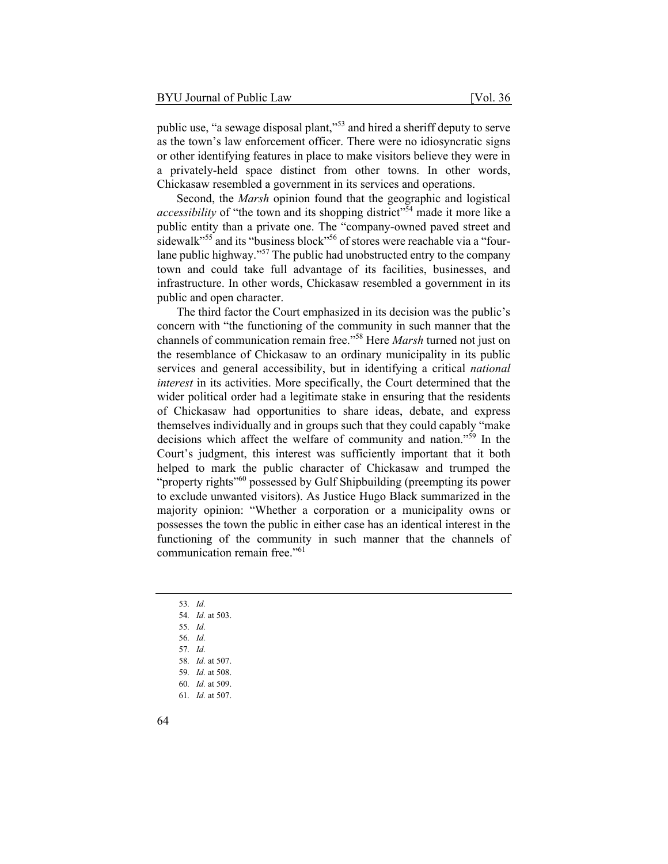public use, "a sewage disposal plant,"<sup>53</sup> and hired a sheriff deputy to serve as the town's law enforcement officer. There were no idiosyncratic signs or other identifying features in place to make visitors believe they were in a privately-held space distinct from other towns. In other words, Chickasaw resembled a government in its services and operations.

Second, the *Marsh* opinion found that the geographic and logistical *accessibility* of "the town and its shopping district"<sup>54</sup> made it more like a public entity than a private one. The "company-owned paved street and sidewalk<sup>"55</sup> and its "business block"<sup>56</sup> of stores were reachable via a "fourlane public highway."<sup>57</sup> The public had unobstructed entry to the company town and could take full advantage of its facilities, businesses, and infrastructure. In other words, Chickasaw resembled a government in its public and open character.

The third factor the Court emphasized in its decision was the public's concern with "the functioning of the community in such manner that the channels of communication remain free."58 Here *Marsh* turned not just on the resemblance of Chickasaw to an ordinary municipality in its public services and general accessibility, but in identifying a critical *national interest* in its activities. More specifically, the Court determined that the wider political order had a legitimate stake in ensuring that the residents of Chickasaw had opportunities to share ideas, debate, and express themselves individually and in groups such that they could capably "make decisions which affect the welfare of community and nation."59 In the Court's judgment, this interest was sufficiently important that it both helped to mark the public character of Chickasaw and trumped the "property rights"<sup>60</sup> possessed by Gulf Shipbuilding (preempting its power to exclude unwanted visitors). As Justice Hugo Black summarized in the majority opinion: "Whether a corporation or a municipality owns or possesses the town the public in either case has an identical interest in the functioning of the community in such manner that the channels of communication remain free."<sup>61</sup>

- 53*. Id.*
- 54*. Id.* at 503.
- 55*. Id.*
- 56*. Id.*
- 57*. Id.*
- 58*. Id.* at 507.
- 59*. Id.* at 508.
- 60*. Id.* at 509.
- 61*. Id.* at 507.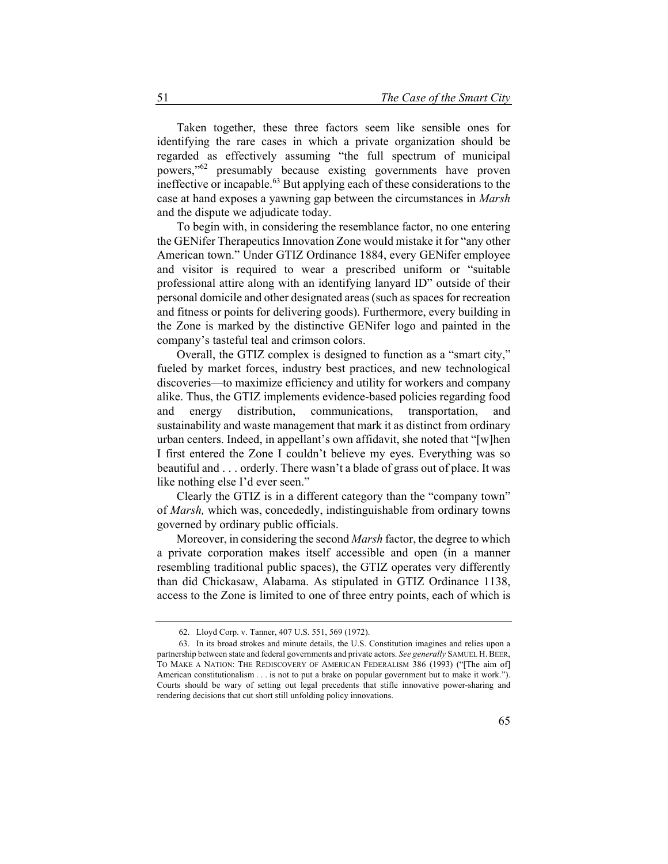Taken together, these three factors seem like sensible ones for identifying the rare cases in which a private organization should be regarded as effectively assuming "the full spectrum of municipal powers,"62 presumably because existing governments have proven ineffective or incapable.63 But applying each of these considerations to the case at hand exposes a yawning gap between the circumstances in *Marsh* and the dispute we adjudicate today.

To begin with, in considering the resemblance factor, no one entering the GENifer Therapeutics Innovation Zone would mistake it for "any other American town." Under GTIZ Ordinance 1884, every GENifer employee and visitor is required to wear a prescribed uniform or "suitable professional attire along with an identifying lanyard ID" outside of their personal domicile and other designated areas (such as spaces for recreation and fitness or points for delivering goods). Furthermore, every building in the Zone is marked by the distinctive GENifer logo and painted in the company's tasteful teal and crimson colors.

Overall, the GTIZ complex is designed to function as a "smart city," fueled by market forces, industry best practices, and new technological discoveries—to maximize efficiency and utility for workers and company alike. Thus, the GTIZ implements evidence-based policies regarding food and energy distribution, communications, transportation, and sustainability and waste management that mark it as distinct from ordinary urban centers. Indeed, in appellant's own affidavit, she noted that "[w]hen I first entered the Zone I couldn't believe my eyes. Everything was so beautiful and . . . orderly. There wasn't a blade of grass out of place. It was like nothing else I'd ever seen."

Clearly the GTIZ is in a different category than the "company town" of *Marsh,* which was, concededly, indistinguishable from ordinary towns governed by ordinary public officials.

Moreover, in considering the second *Marsh* factor, the degree to which a private corporation makes itself accessible and open (in a manner resembling traditional public spaces), the GTIZ operates very differently than did Chickasaw, Alabama. As stipulated in GTIZ Ordinance 1138, access to the Zone is limited to one of three entry points, each of which is

<sup>62.</sup> Lloyd Corp. v. Tanner, 407 U.S. 551, 569 (1972).

<sup>63.</sup> In its broad strokes and minute details, the U.S. Constitution imagines and relies upon a partnership between state and federal governments and private actors. *See generally* SAMUEL H.BEER, TO MAKE A NATION: THE REDISCOVERY OF AMERICAN FEDERALISM 386 (1993) ("[The aim of] American constitutionalism . . . is not to put a brake on popular government but to make it work."). Courts should be wary of setting out legal precedents that stifle innovative power-sharing and rendering decisions that cut short still unfolding policy innovations.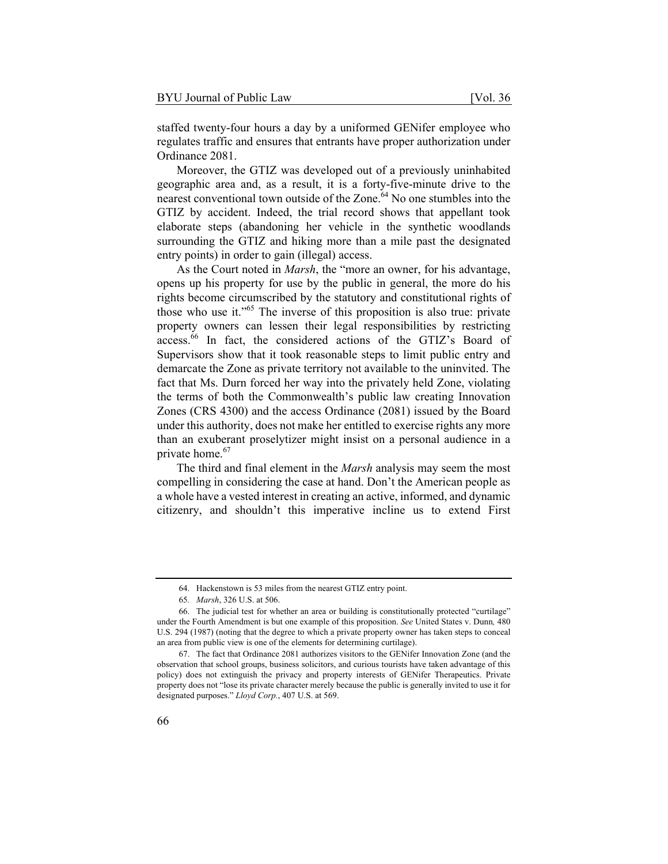staffed twenty-four hours a day by a uniformed GENifer employee who regulates traffic and ensures that entrants have proper authorization under Ordinance 2081.

Moreover, the GTIZ was developed out of a previously uninhabited geographic area and, as a result, it is a forty-five-minute drive to the nearest conventional town outside of the Zone.<sup>64</sup> No one stumbles into the GTIZ by accident. Indeed, the trial record shows that appellant took elaborate steps (abandoning her vehicle in the synthetic woodlands surrounding the GTIZ and hiking more than a mile past the designated entry points) in order to gain (illegal) access.

As the Court noted in *Marsh*, the "more an owner, for his advantage, opens up his property for use by the public in general, the more do his rights become circumscribed by the statutory and constitutional rights of those who use it."65 The inverse of this proposition is also true: private property owners can lessen their legal responsibilities by restricting access.66 In fact, the considered actions of the GTIZ's Board of Supervisors show that it took reasonable steps to limit public entry and demarcate the Zone as private territory not available to the uninvited. The fact that Ms. Durn forced her way into the privately held Zone, violating the terms of both the Commonwealth's public law creating Innovation Zones (CRS 4300) and the access Ordinance (2081) issued by the Board under this authority, does not make her entitled to exercise rights any more than an exuberant proselytizer might insist on a personal audience in a private home.<sup>67</sup>

The third and final element in the *Marsh* analysis may seem the most compelling in considering the case at hand. Don't the American people as a whole have a vested interest in creating an active, informed, and dynamic citizenry, and shouldn't this imperative incline us to extend First

<sup>64.</sup> Hackenstown is 53 miles from the nearest GTIZ entry point.

<sup>65</sup>*. Marsh*, 326 U.S. at 506.

<sup>66.</sup> The judicial test for whether an area or building is constitutionally protected "curtilage" under the Fourth Amendment is but one example of this proposition. *See* United States v. Dunn*,* 480 U.S. 294 (1987) (noting that the degree to which a private property owner has taken steps to conceal an area from public view is one of the elements for determining curtilage).

<sup>67.</sup> The fact that Ordinance 2081 authorizes visitors to the GENifer Innovation Zone (and the observation that school groups, business solicitors, and curious tourists have taken advantage of this policy) does not extinguish the privacy and property interests of GENifer Therapeutics. Private property does not "lose its private character merely because the public is generally invited to use it for designated purposes." *Lloyd Corp.*, 407 U.S. at 569.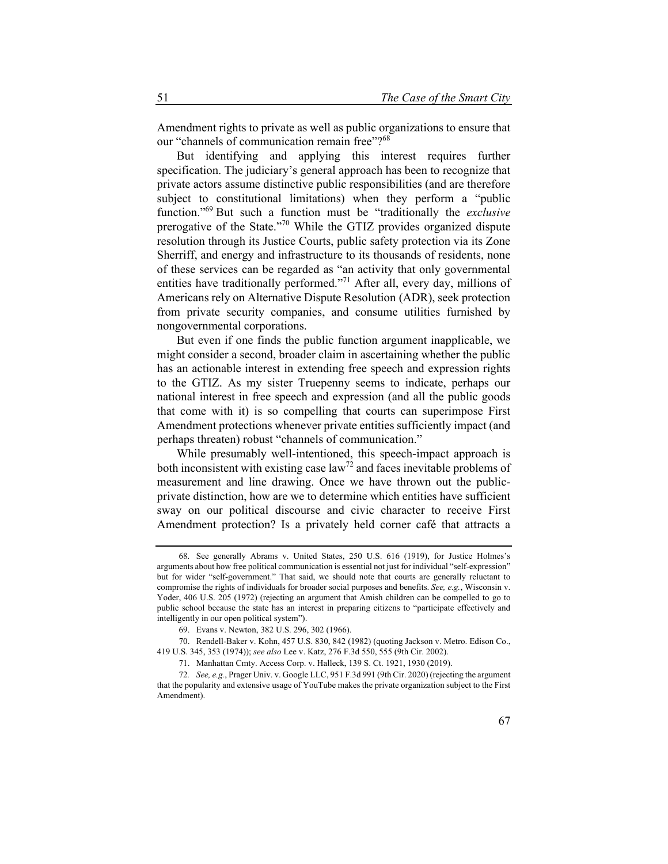Amendment rights to private as well as public organizations to ensure that our "channels of communication remain free"?<sup>68</sup>

But identifying and applying this interest requires further specification. The judiciary's general approach has been to recognize that private actors assume distinctive public responsibilities (and are therefore subject to constitutional limitations) when they perform a "public function."69 But such a function must be "traditionally the *exclusive*  prerogative of the State."70 While the GTIZ provides organized dispute resolution through its Justice Courts, public safety protection via its Zone Sherriff, and energy and infrastructure to its thousands of residents, none of these services can be regarded as "an activity that only governmental entities have traditionally performed."<sup>71</sup> After all, every day, millions of Americans rely on Alternative Dispute Resolution (ADR), seek protection from private security companies, and consume utilities furnished by nongovernmental corporations.

But even if one finds the public function argument inapplicable, we might consider a second, broader claim in ascertaining whether the public has an actionable interest in extending free speech and expression rights to the GTIZ. As my sister Truepenny seems to indicate, perhaps our national interest in free speech and expression (and all the public goods that come with it) is so compelling that courts can superimpose First Amendment protections whenever private entities sufficiently impact (and perhaps threaten) robust "channels of communication."

While presumably well-intentioned, this speech-impact approach is both inconsistent with existing case  $law<sup>72</sup>$  and faces inevitable problems of measurement and line drawing. Once we have thrown out the publicprivate distinction, how are we to determine which entities have sufficient sway on our political discourse and civic character to receive First Amendment protection? Is a privately held corner café that attracts a

<sup>68.</sup> See generally Abrams v. United States, 250 U.S. 616 (1919), for Justice Holmes's arguments about how free political communication is essential not just for individual "self-expression" but for wider "self-government." That said, we should note that courts are generally reluctant to compromise the rights of individuals for broader social purposes and benefits. *See, e.g.*, Wisconsin v. Yoder, 406 U.S. 205 (1972) (rejecting an argument that Amish children can be compelled to go to public school because the state has an interest in preparing citizens to "participate effectively and intelligently in our open political system").

<sup>69.</sup> Evans v. Newton, 382 U.S. 296, 302 (1966).

<sup>70.</sup> Rendell-Baker v. Kohn, 457 U.S. 830, 842 (1982) (quoting Jackson v. Metro. Edison Co., 419 U.S. 345, 353 (1974)); *see also* Lee v. Katz, 276 F.3d 550, 555 (9th Cir. 2002).

<sup>71.</sup> Manhattan Cmty. Access Corp. v. Halleck, 139 S. Ct. 1921, 1930 (2019).

<sup>72</sup>*. See, e.g.*, Prager Univ. v. Google LLC, 951 F.3d 991 (9th Cir. 2020) (rejecting the argument that the popularity and extensive usage of YouTube makes the private organization subject to the First Amendment).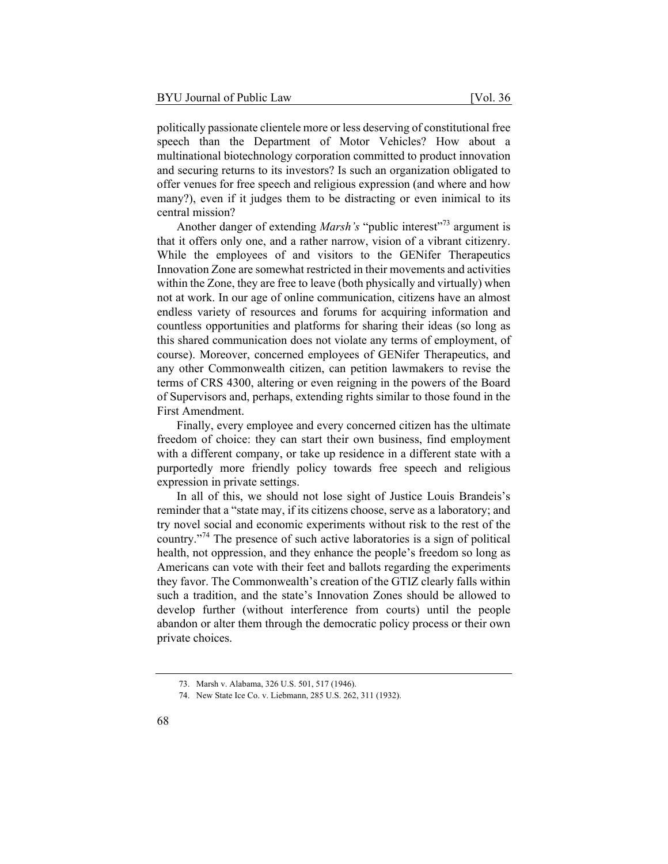politically passionate clientele more or less deserving of constitutional free speech than the Department of Motor Vehicles? How about a multinational biotechnology corporation committed to product innovation and securing returns to its investors? Is such an organization obligated to offer venues for free speech and religious expression (and where and how many?), even if it judges them to be distracting or even inimical to its central mission?

Another danger of extending *Marsh's* "public interest"<sup>73</sup> argument is that it offers only one, and a rather narrow, vision of a vibrant citizenry. While the employees of and visitors to the GENifer Therapeutics Innovation Zone are somewhat restricted in their movements and activities within the Zone, they are free to leave (both physically and virtually) when not at work. In our age of online communication, citizens have an almost endless variety of resources and forums for acquiring information and countless opportunities and platforms for sharing their ideas (so long as this shared communication does not violate any terms of employment, of course). Moreover, concerned employees of GENifer Therapeutics, and any other Commonwealth citizen, can petition lawmakers to revise the terms of CRS 4300, altering or even reigning in the powers of the Board of Supervisors and, perhaps, extending rights similar to those found in the First Amendment.

Finally, every employee and every concerned citizen has the ultimate freedom of choice: they can start their own business, find employment with a different company, or take up residence in a different state with a purportedly more friendly policy towards free speech and religious expression in private settings.

In all of this, we should not lose sight of Justice Louis Brandeis's reminder that a "state may, if its citizens choose, serve as a laboratory; and try novel social and economic experiments without risk to the rest of the country."74 The presence of such active laboratories is a sign of political health, not oppression, and they enhance the people's freedom so long as Americans can vote with their feet and ballots regarding the experiments they favor. The Commonwealth's creation of the GTIZ clearly falls within such a tradition, and the state's Innovation Zones should be allowed to develop further (without interference from courts) until the people abandon or alter them through the democratic policy process or their own private choices.

<sup>73.</sup> Marsh v. Alabama, 326 U.S. 501, 517 (1946).

<sup>74.</sup> New State Ice Co. v. Liebmann, 285 U.S. 262, 311 (1932).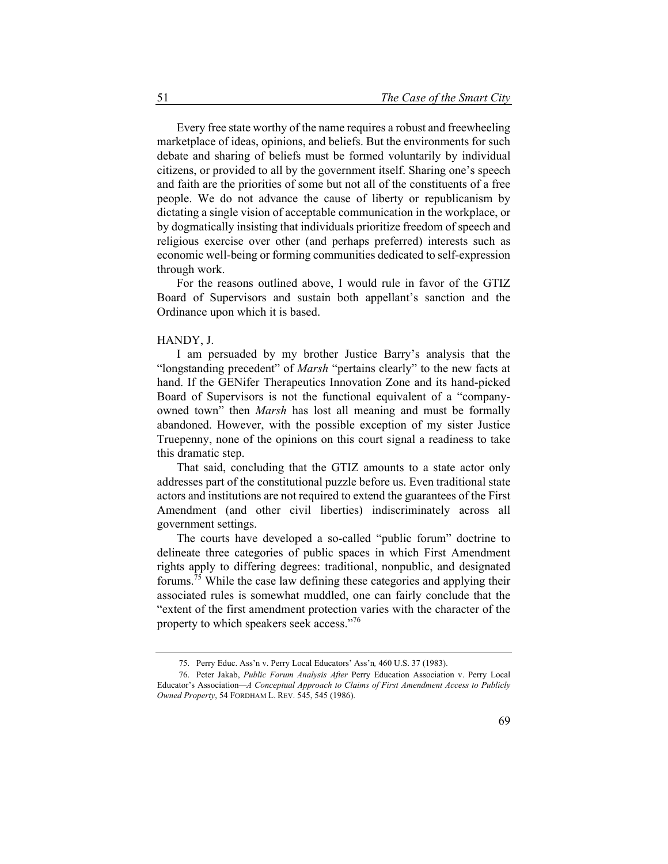Every free state worthy of the name requires a robust and freewheeling marketplace of ideas, opinions, and beliefs. But the environments for such debate and sharing of beliefs must be formed voluntarily by individual citizens, or provided to all by the government itself. Sharing one's speech and faith are the priorities of some but not all of the constituents of a free people. We do not advance the cause of liberty or republicanism by dictating a single vision of acceptable communication in the workplace, or by dogmatically insisting that individuals prioritize freedom of speech and religious exercise over other (and perhaps preferred) interests such as economic well-being or forming communities dedicated to self-expression through work.

For the reasons outlined above, I would rule in favor of the GTIZ Board of Supervisors and sustain both appellant's sanction and the Ordinance upon which it is based.

#### HANDY, J.

I am persuaded by my brother Justice Barry's analysis that the "longstanding precedent" of *Marsh* "pertains clearly" to the new facts at hand. If the GENifer Therapeutics Innovation Zone and its hand-picked Board of Supervisors is not the functional equivalent of a "companyowned town" then *Marsh* has lost all meaning and must be formally abandoned. However, with the possible exception of my sister Justice Truepenny, none of the opinions on this court signal a readiness to take this dramatic step.

That said, concluding that the GTIZ amounts to a state actor only addresses part of the constitutional puzzle before us. Even traditional state actors and institutions are not required to extend the guarantees of the First Amendment (and other civil liberties) indiscriminately across all government settings.

The courts have developed a so-called "public forum" doctrine to delineate three categories of public spaces in which First Amendment rights apply to differing degrees: traditional, nonpublic, and designated forums.75 While the case law defining these categories and applying their associated rules is somewhat muddled, one can fairly conclude that the "extent of the first amendment protection varies with the character of the property to which speakers seek access."<sup>76</sup>

<sup>75.</sup> Perry Educ. Ass'n v. Perry Local Educators' Ass'n*,* 460 U.S. 37 (1983).

<sup>76.</sup> Peter Jakab, *Public Forum Analysis After* Perry Education Association v. Perry Local Educator's Association*—A Conceptual Approach to Claims of First Amendment Access to Publicly Owned Property*, 54 FORDHAM L. REV. 545, 545 (1986).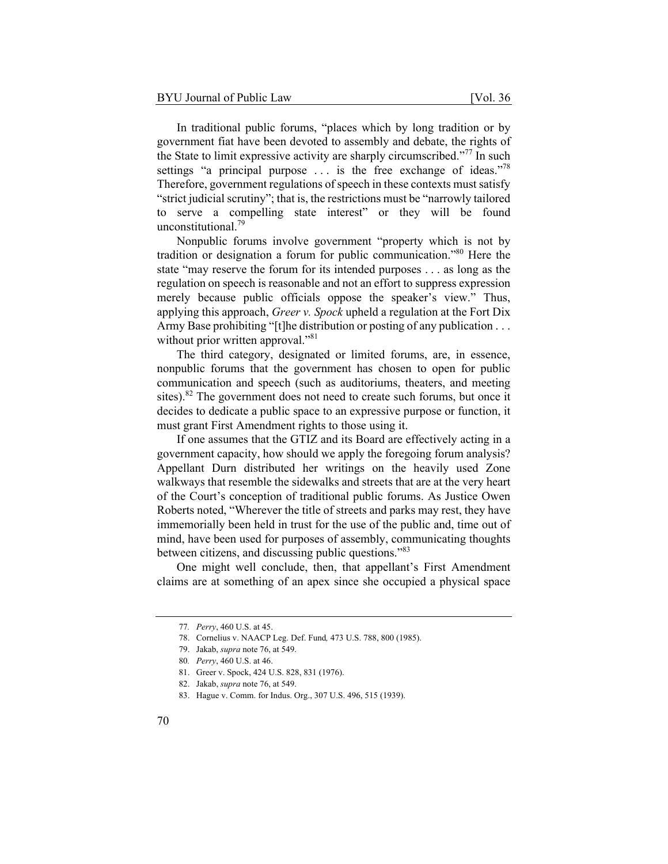In traditional public forums, "places which by long tradition or by government fiat have been devoted to assembly and debate, the rights of the State to limit expressive activity are sharply circumscribed."77 In such settings "a principal purpose  $\dots$  is the free exchange of ideas."<sup>78</sup> Therefore, government regulations of speech in these contexts must satisfy "strict judicial scrutiny"; that is, the restrictions must be "narrowly tailored to serve a compelling state interest" or they will be found unconstitutional.79

Nonpublic forums involve government "property which is not by tradition or designation a forum for public communication."80 Here the state "may reserve the forum for its intended purposes . . . as long as the regulation on speech is reasonable and not an effort to suppress expression merely because public officials oppose the speaker's view." Thus, applying this approach, *Greer v. Spock* upheld a regulation at the Fort Dix Army Base prohibiting "[t]he distribution or posting of any publication . . . without prior written approval."<sup>81</sup>

The third category, designated or limited forums, are, in essence, nonpublic forums that the government has chosen to open for public communication and speech (such as auditoriums, theaters, and meeting sites).<sup>82</sup> The government does not need to create such forums, but once it decides to dedicate a public space to an expressive purpose or function, it must grant First Amendment rights to those using it.

If one assumes that the GTIZ and its Board are effectively acting in a government capacity, how should we apply the foregoing forum analysis? Appellant Durn distributed her writings on the heavily used Zone walkways that resemble the sidewalks and streets that are at the very heart of the Court's conception of traditional public forums. As Justice Owen Roberts noted, "Wherever the title of streets and parks may rest, they have immemorially been held in trust for the use of the public and, time out of mind, have been used for purposes of assembly, communicating thoughts between citizens, and discussing public questions."83

One might well conclude, then, that appellant's First Amendment claims are at something of an apex since she occupied a physical space

<sup>77</sup>*. Perry*, 460 U.S. at 45.

<sup>78.</sup> Cornelius v. NAACP Leg. Def. Fund*,* 473 U.S. 788, 800 (1985).

<sup>79.</sup> Jakab, *supra* note 76, at 549.

<sup>80</sup>*. Perry*, 460 U.S. at 46.

<sup>81.</sup> Greer v. Spock, 424 U.S. 828, 831 (1976).

<sup>82.</sup> Jakab, *supra* note 76, at 549.

<sup>83.</sup> Hague v. Comm. for Indus. Org., 307 U.S. 496, 515 (1939).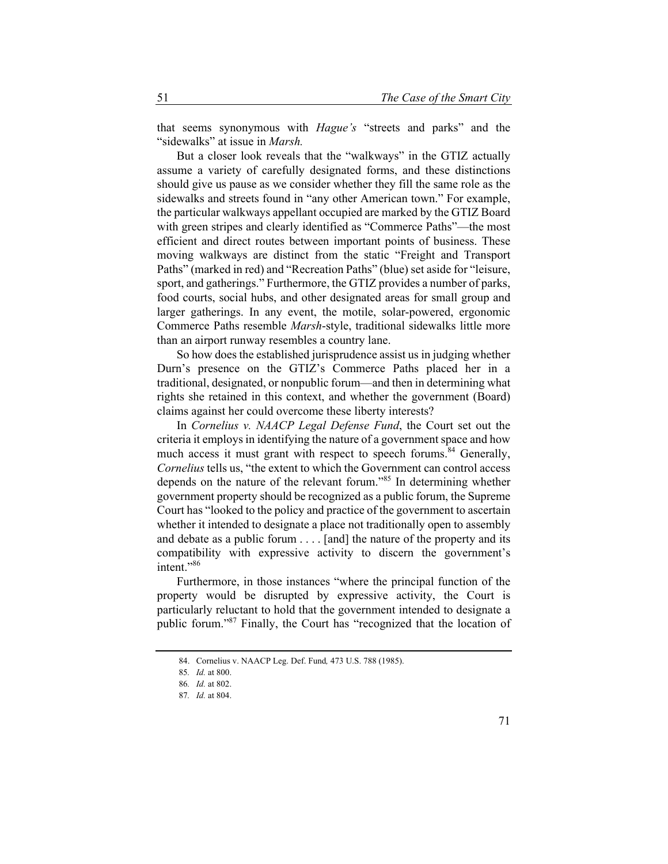that seems synonymous with *Hague's* "streets and parks" and the "sidewalks" at issue in *Marsh.*

But a closer look reveals that the "walkways" in the GTIZ actually assume a variety of carefully designated forms, and these distinctions should give us pause as we consider whether they fill the same role as the sidewalks and streets found in "any other American town." For example, the particular walkways appellant occupied are marked by the GTIZ Board with green stripes and clearly identified as "Commerce Paths"—the most efficient and direct routes between important points of business. These moving walkways are distinct from the static "Freight and Transport Paths" (marked in red) and "Recreation Paths" (blue) set aside for "leisure, sport, and gatherings." Furthermore, the GTIZ provides a number of parks, food courts, social hubs, and other designated areas for small group and larger gatherings. In any event, the motile, solar-powered, ergonomic Commerce Paths resemble *Marsh*-style, traditional sidewalks little more than an airport runway resembles a country lane.

So how does the established jurisprudence assist us in judging whether Durn's presence on the GTIZ's Commerce Paths placed her in a traditional, designated, or nonpublic forum—and then in determining what rights she retained in this context, and whether the government (Board) claims against her could overcome these liberty interests?

In *Cornelius v. NAACP Legal Defense Fund*, the Court set out the criteria it employs in identifying the nature of a government space and how much access it must grant with respect to speech forums.<sup>84</sup> Generally, *Cornelius* tells us, "the extent to which the Government can control access depends on the nature of the relevant forum."85 In determining whether government property should be recognized as a public forum, the Supreme Court has "looked to the policy and practice of the government to ascertain whether it intended to designate a place not traditionally open to assembly and debate as a public forum . . . . [and] the nature of the property and its compatibility with expressive activity to discern the government's intent."<sup>86</sup>

Furthermore, in those instances "where the principal function of the property would be disrupted by expressive activity, the Court is particularly reluctant to hold that the government intended to designate a public forum."87 Finally, the Court has "recognized that the location of

<sup>84.</sup> Cornelius v. NAACP Leg. Def. Fund*,* 473 U.S. 788 (1985).

<sup>85</sup>*. Id.* at 800.

<sup>86</sup>*. Id.* at 802.

<sup>87</sup>*. Id.* at 804.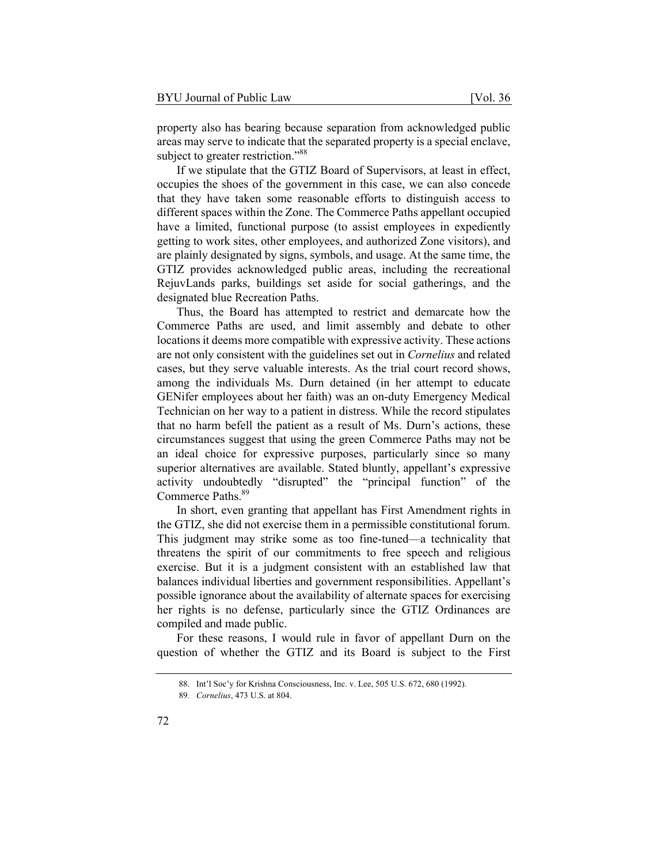property also has bearing because separation from acknowledged public areas may serve to indicate that the separated property is a special enclave, subject to greater restriction."<sup>88</sup>

If we stipulate that the GTIZ Board of Supervisors, at least in effect, occupies the shoes of the government in this case, we can also concede that they have taken some reasonable efforts to distinguish access to different spaces within the Zone. The Commerce Paths appellant occupied have a limited, functional purpose (to assist employees in expediently getting to work sites, other employees, and authorized Zone visitors), and are plainly designated by signs, symbols, and usage. At the same time, the GTIZ provides acknowledged public areas, including the recreational RejuvLands parks, buildings set aside for social gatherings, and the designated blue Recreation Paths.

Thus, the Board has attempted to restrict and demarcate how the Commerce Paths are used, and limit assembly and debate to other locations it deems more compatible with expressive activity. These actions are not only consistent with the guidelines set out in *Cornelius* and related cases, but they serve valuable interests. As the trial court record shows, among the individuals Ms. Durn detained (in her attempt to educate GENifer employees about her faith) was an on-duty Emergency Medical Technician on her way to a patient in distress. While the record stipulates that no harm befell the patient as a result of Ms. Durn's actions, these circumstances suggest that using the green Commerce Paths may not be an ideal choice for expressive purposes, particularly since so many superior alternatives are available. Stated bluntly, appellant's expressive activity undoubtedly "disrupted" the "principal function" of the Commerce Paths.<sup>89</sup>

In short, even granting that appellant has First Amendment rights in the GTIZ, she did not exercise them in a permissible constitutional forum. This judgment may strike some as too fine-tuned—a technicality that threatens the spirit of our commitments to free speech and religious exercise. But it is a judgment consistent with an established law that balances individual liberties and government responsibilities. Appellant's possible ignorance about the availability of alternate spaces for exercising her rights is no defense, particularly since the GTIZ Ordinances are compiled and made public.

For these reasons, I would rule in favor of appellant Durn on the question of whether the GTIZ and its Board is subject to the First

<sup>88.</sup> Int'l Soc'y for Krishna Consciousness, Inc. v. Lee, 505 U.S. 672, 680 (1992).

<sup>89</sup>*. Cornelius*, 473 U.S. at 804.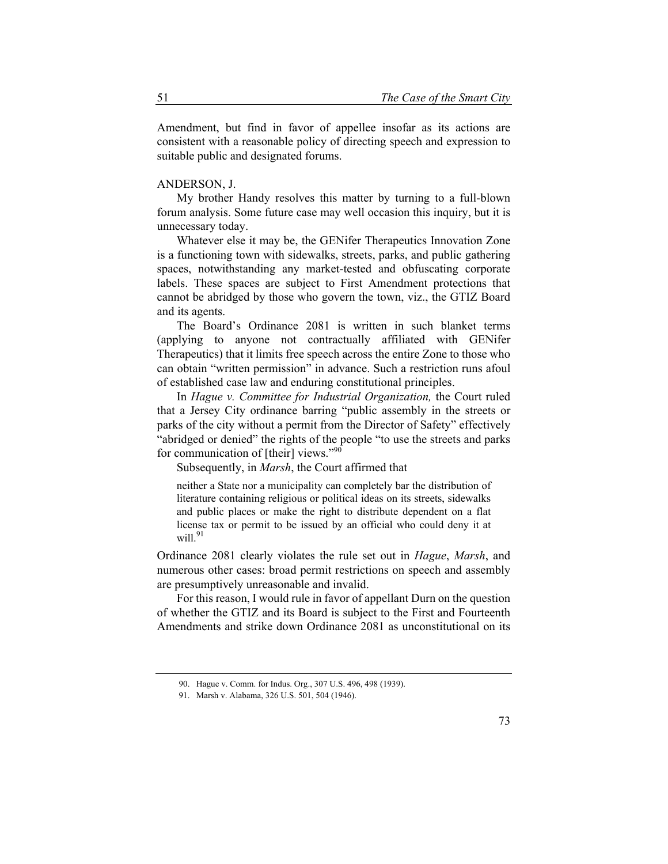Amendment, but find in favor of appellee insofar as its actions are consistent with a reasonable policy of directing speech and expression to suitable public and designated forums.

#### ANDERSON, J.

My brother Handy resolves this matter by turning to a full-blown forum analysis. Some future case may well occasion this inquiry, but it is unnecessary today.

Whatever else it may be, the GENifer Therapeutics Innovation Zone is a functioning town with sidewalks, streets, parks, and public gathering spaces, notwithstanding any market-tested and obfuscating corporate labels. These spaces are subject to First Amendment protections that cannot be abridged by those who govern the town, viz., the GTIZ Board and its agents.

The Board's Ordinance 2081 is written in such blanket terms (applying to anyone not contractually affiliated with GENifer Therapeutics) that it limits free speech across the entire Zone to those who can obtain "written permission" in advance. Such a restriction runs afoul of established case law and enduring constitutional principles.

In *Hague v. Committee for Industrial Organization,* the Court ruled that a Jersey City ordinance barring "public assembly in the streets or parks of the city without a permit from the Director of Safety" effectively "abridged or denied" the rights of the people "to use the streets and parks for communication of [their] views."<sup>90</sup>

Subsequently, in *Marsh*, the Court affirmed that

neither a State nor a municipality can completely bar the distribution of literature containing religious or political ideas on its streets, sidewalks and public places or make the right to distribute dependent on a flat license tax or permit to be issued by an official who could deny it at will. $91$ 

Ordinance 2081 clearly violates the rule set out in *Hague*, *Marsh*, and numerous other cases: broad permit restrictions on speech and assembly are presumptively unreasonable and invalid.

For this reason, I would rule in favor of appellant Durn on the question of whether the GTIZ and its Board is subject to the First and Fourteenth Amendments and strike down Ordinance 2081 as unconstitutional on its

<sup>90.</sup> Hague v. Comm. for Indus. Org., 307 U.S. 496, 498 (1939).

<sup>91.</sup> Marsh v. Alabama, 326 U.S. 501, 504 (1946).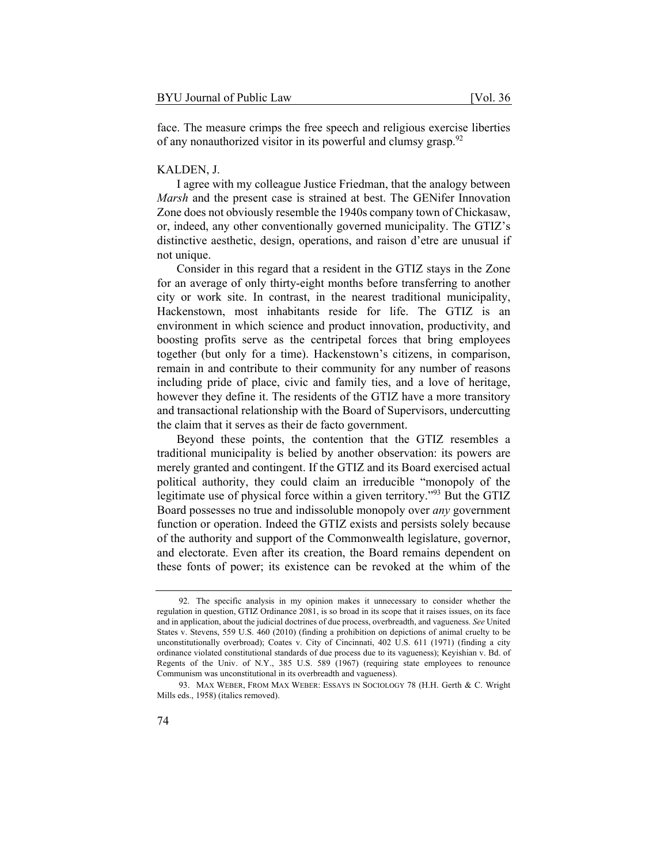face. The measure crimps the free speech and religious exercise liberties of any nonauthorized visitor in its powerful and clumsy grasp.<sup>92</sup>

#### KALDEN, J.

I agree with my colleague Justice Friedman, that the analogy between *Marsh* and the present case is strained at best. The GENifer Innovation Zone does not obviously resemble the 1940s company town of Chickasaw, or, indeed, any other conventionally governed municipality. The GTIZ's distinctive aesthetic, design, operations, and raison d'etre are unusual if not unique.

Consider in this regard that a resident in the GTIZ stays in the Zone for an average of only thirty-eight months before transferring to another city or work site. In contrast, in the nearest traditional municipality, Hackenstown, most inhabitants reside for life. The GTIZ is an environment in which science and product innovation, productivity, and boosting profits serve as the centripetal forces that bring employees together (but only for a time). Hackenstown's citizens, in comparison, remain in and contribute to their community for any number of reasons including pride of place, civic and family ties, and a love of heritage, however they define it. The residents of the GTIZ have a more transitory and transactional relationship with the Board of Supervisors, undercutting the claim that it serves as their de facto government.

Beyond these points, the contention that the GTIZ resembles a traditional municipality is belied by another observation: its powers are merely granted and contingent. If the GTIZ and its Board exercised actual political authority, they could claim an irreducible "monopoly of the legitimate use of physical force within a given territory."<sup>93</sup> But the GTIZ Board possesses no true and indissoluble monopoly over *any* government function or operation. Indeed the GTIZ exists and persists solely because of the authority and support of the Commonwealth legislature, governor, and electorate. Even after its creation, the Board remains dependent on these fonts of power; its existence can be revoked at the whim of the

<sup>92.</sup> The specific analysis in my opinion makes it unnecessary to consider whether the regulation in question, GTIZ Ordinance 2081, is so broad in its scope that it raises issues, on its face and in application, about the judicial doctrines of due process, overbreadth, and vagueness. *See* United States v. Stevens, 559 U.S. 460 (2010) (finding a prohibition on depictions of animal cruelty to be unconstitutionally overbroad); Coates v. City of Cincinnati, 402 U.S. 611 (1971) (finding a city ordinance violated constitutional standards of due process due to its vagueness); Keyishian v. Bd. of Regents of the Univ. of N.Y., 385 U.S. 589 (1967) (requiring state employees to renounce Communism was unconstitutional in its overbreadth and vagueness).

<sup>93.</sup> MAX WEBER, FROM MAX WEBER: ESSAYS IN SOCIOLOGY 78 (H.H. Gerth & C. Wright Mills eds., 1958) (italics removed).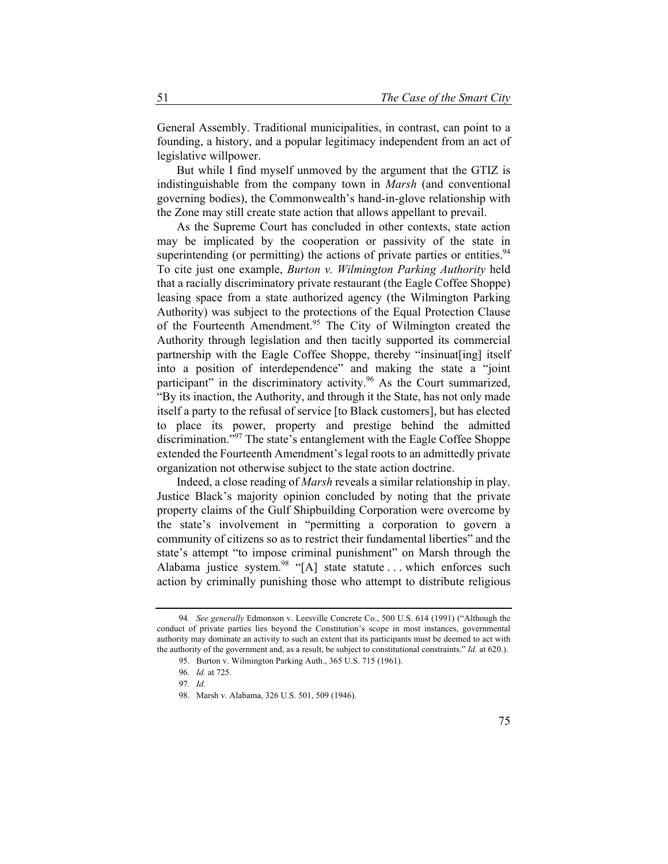General Assembly. Traditional municipalities, in contrast, can point to a founding, a history, and a popular legitimacy independent from an act of legislative willpower.

But while I find myself unmoved by the argument that the GTIZ is indistinguishable from the company town in *Marsh* (and conventional governing bodies), the Commonwealth's hand-in-glove relationship with the Zone may still create state action that allows appellant to prevail.

As the Supreme Court has concluded in other contexts, state action may be implicated by the cooperation or passivity of the state in superintending (or permitting) the actions of private parties or entities.<sup>94</sup> To cite just one example, *Burton v. Wilmington Parking Authority* held that a racially discriminatory private restaurant (the Eagle Coffee Shoppe) leasing space from a state authorized agency (the Wilmington Parking Authority) was subject to the protections of the Equal Protection Clause of the Fourteenth Amendment.<sup>95</sup> The City of Wilmington created the Authority through legislation and then tacitly supported its commercial partnership with the Eagle Coffee Shoppe, thereby "insinuat[ing] itself into a position of interdependence" and making the state a "joint participant" in the discriminatory activity.<sup>96</sup> As the Court summarized, "By its inaction, the Authority, and through it the State, has not only made itself a party to the refusal of service [to Black customers], but has elected to place its power, property and prestige behind the admitted discrimination."97 The state's entanglement with the Eagle Coffee Shoppe extended the Fourteenth Amendment's legal roots to an admittedly private organization not otherwise subject to the state action doctrine.

Indeed, a close reading of *Marsh* reveals a similar relationship in play. Justice Black's majority opinion concluded by noting that the private property claims of the Gulf Shipbuilding Corporation were overcome by the state's involvement in "permitting a corporation to govern a community of citizens so as to restrict their fundamental liberties" and the state's attempt "to impose criminal punishment" on Marsh through the Alabama justice system.<sup>98</sup> "[A] state statute ... which enforces such action by criminally punishing those who attempt to distribute religious

<sup>94</sup>*. See generally* Edmonson v. Leesville Concrete Co., 500 U.S. 614 (1991) ("Although the conduct of private parties lies beyond the Constitution's scope in most instances, governmental authority may dominate an activity to such an extent that its participants must be deemed to act with the authority of the government and, as a result, be subject to constitutional constraints." *Id.* at 620.).

<sup>95.</sup> Burton v. Wilmington Parking Auth., 365 U.S. 715 (1961).

<sup>96</sup>*. Id.* at 725.

<sup>97</sup>*. Id.*

<sup>98.</sup> Marsh v. Alabama, 326 U.S. 501, 509 (1946).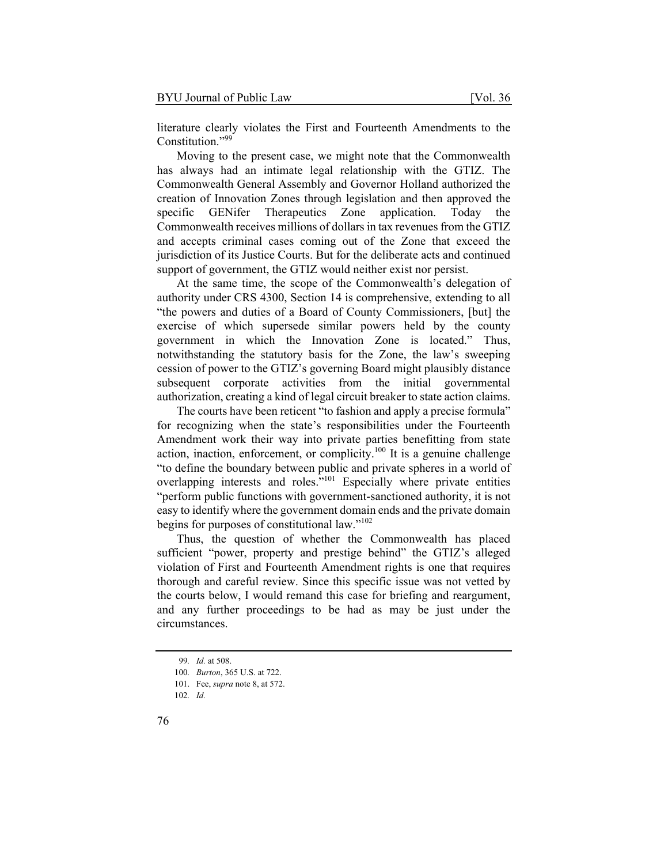literature clearly violates the First and Fourteenth Amendments to the Constitution."<sup>99</sup>

Moving to the present case, we might note that the Commonwealth has always had an intimate legal relationship with the GTIZ. The Commonwealth General Assembly and Governor Holland authorized the creation of Innovation Zones through legislation and then approved the specific GENifer Therapeutics Zone application. Today the Commonwealth receives millions of dollars in tax revenues from the GTIZ and accepts criminal cases coming out of the Zone that exceed the jurisdiction of its Justice Courts. But for the deliberate acts and continued support of government, the GTIZ would neither exist nor persist.

At the same time, the scope of the Commonwealth's delegation of authority under CRS 4300, Section 14 is comprehensive, extending to all "the powers and duties of a Board of County Commissioners, [but] the exercise of which supersede similar powers held by the county government in which the Innovation Zone is located." Thus, notwithstanding the statutory basis for the Zone, the law's sweeping cession of power to the GTIZ's governing Board might plausibly distance subsequent corporate activities from the initial governmental authorization, creating a kind of legal circuit breaker to state action claims.

The courts have been reticent "to fashion and apply a precise formula" for recognizing when the state's responsibilities under the Fourteenth Amendment work their way into private parties benefitting from state action, inaction, enforcement, or complicity.<sup>100</sup> It is a genuine challenge "to define the boundary between public and private spheres in a world of overlapping interests and roles."101 Especially where private entities "perform public functions with government-sanctioned authority, it is not easy to identify where the government domain ends and the private domain begins for purposes of constitutional law."<sup>102</sup>

Thus, the question of whether the Commonwealth has placed sufficient "power, property and prestige behind" the GTIZ's alleged violation of First and Fourteenth Amendment rights is one that requires thorough and careful review. Since this specific issue was not vetted by the courts below, I would remand this case for briefing and reargument, and any further proceedings to be had as may be just under the circumstances.

<sup>99</sup>*. Id.* at 508.

<sup>100</sup>*. Burton*, 365 U.S. at 722.

<sup>101.</sup> Fee, *supra* note 8, at 572.

<sup>102</sup>*. Id.*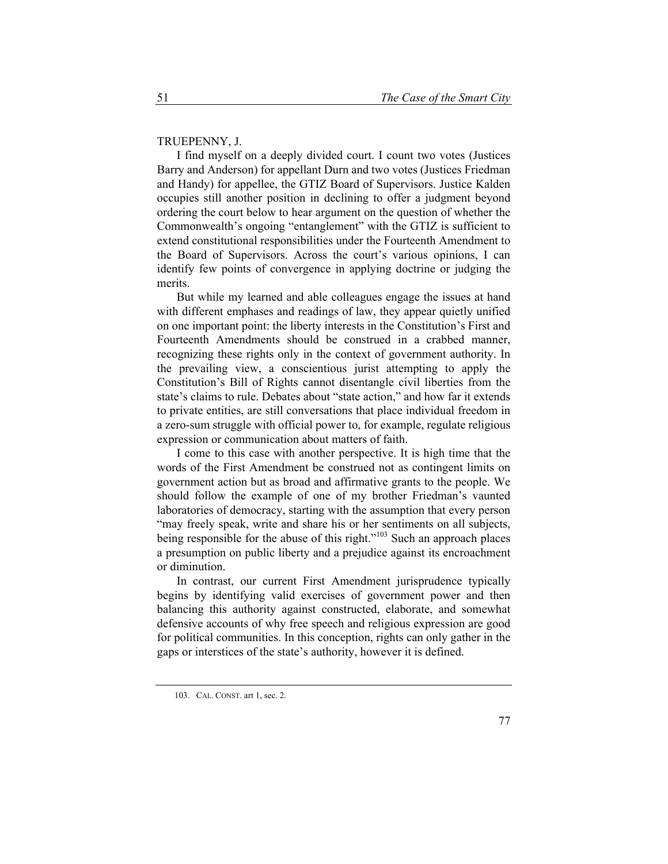### TRUEPENNY, J.

I find myself on a deeply divided court. I count two votes (Justices Barry and Anderson) for appellant Durn and two votes (Justices Friedman and Handy) for appellee, the GTIZ Board of Supervisors. Justice Kalden occupies still another position in declining to offer a judgment beyond ordering the court below to hear argument on the question of whether the Commonwealth's ongoing "entanglement" with the GTIZ is sufficient to extend constitutional responsibilities under the Fourteenth Amendment to the Board of Supervisors. Across the court's various opinions, I can identify few points of convergence in applying doctrine or judging the merits.

But while my learned and able colleagues engage the issues at hand with different emphases and readings of law, they appear quietly unified on one important point: the liberty interests in the Constitution's First and Fourteenth Amendments should be construed in a crabbed manner, recognizing these rights only in the context of government authority. In the prevailing view, a conscientious jurist attempting to apply the Constitution's Bill of Rights cannot disentangle civil liberties from the state's claims to rule. Debates about "state action," and how far it extends to private entities, are still conversations that place individual freedom in a zero-sum struggle with official power to, for example, regulate religious expression or communication about matters of faith.

I come to this case with another perspective. It is high time that the words of the First Amendment be construed not as contingent limits on government action but as broad and affirmative grants to the people. We should follow the example of one of my brother Friedman's vaunted laboratories of democracy, starting with the assumption that every person "may freely speak, write and share his or her sentiments on all subjects, being responsible for the abuse of this right. $10^{103}$  Such an approach places a presumption on public liberty and a prejudice against its encroachment or diminution.

In contrast, our current First Amendment jurisprudence typically begins by identifying valid exercises of government power and then balancing this authority against constructed, elaborate, and somewhat defensive accounts of why free speech and religious expression are good for political communities. In this conception, rights can only gather in the gaps or interstices of the state's authority, however it is defined.

<sup>103.</sup> CAL. CONST. art 1, sec. 2.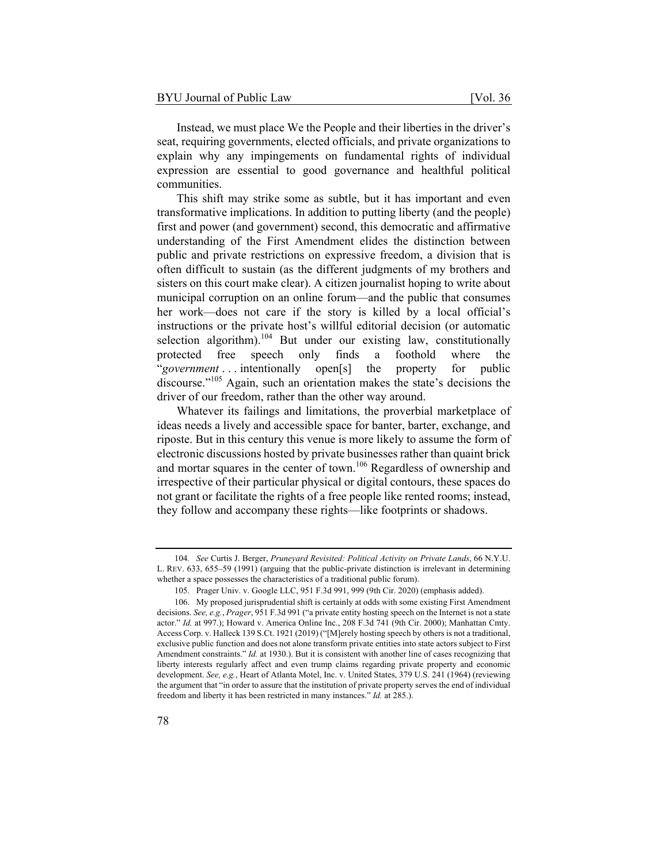Instead, we must place We the People and their liberties in the driver's seat, requiring governments, elected officials, and private organizations to explain why any impingements on fundamental rights of individual expression are essential to good governance and healthful political communities.

This shift may strike some as subtle, but it has important and even transformative implications. In addition to putting liberty (and the people) first and power (and government) second, this democratic and affirmative understanding of the First Amendment elides the distinction between public and private restrictions on expressive freedom, a division that is often difficult to sustain (as the different judgments of my brothers and sisters on this court make clear). A citizen journalist hoping to write about municipal corruption on an online forum—and the public that consumes her work—does not care if the story is killed by a local official's instructions or the private host's willful editorial decision (or automatic selection algorithm).<sup>104</sup> But under our existing law, constitutionally protected free speech only finds a foothold where the "*government* . . . intentionally open[s] the property for public discourse."<sup>105</sup> Again, such an orientation makes the state's decisions the driver of our freedom, rather than the other way around.

Whatever its failings and limitations, the proverbial marketplace of ideas needs a lively and accessible space for banter, barter, exchange, and riposte. But in this century this venue is more likely to assume the form of electronic discussions hosted by private businesses rather than quaint brick and mortar squares in the center of town.<sup>106</sup> Regardless of ownership and irrespective of their particular physical or digital contours, these spaces do not grant or facilitate the rights of a free people like rented rooms; instead, they follow and accompany these rights—like footprints or shadows.

<sup>104</sup>*. See* Curtis J. Berger, *Pruneyard Revisited: Political Activity on Private Lands*, 66 N.Y.U. L. REV. 633, 655–59 (1991) (arguing that the public-private distinction is irrelevant in determining whether a space possesses the characteristics of a traditional public forum).

<sup>105.</sup> Prager Univ. v. Google LLC, 951 F.3d 991, 999 (9th Cir. 2020) (emphasis added).

<sup>106.</sup> My proposed jurisprudential shift is certainly at odds with some existing First Amendment decisions. *See, e.g.*, *Prager*, 951 F.3d 991 ("a private entity hosting speech on the Internet is not a state actor." *Id.* at 997.); Howard v. America Online Inc., 208 F.3d 741 (9th Cir. 2000); Manhattan Cmty. Access Corp. v. Halleck 139 S.Ct. 1921 (2019) ("[M]erely hosting speech by others is not a traditional, exclusive public function and does not alone transform private entities into state actors subject to First Amendment constraints." *Id.* at 1930.). But it is consistent with another line of cases recognizing that liberty interests regularly affect and even trump claims regarding private property and economic development. *See, e.g.*, Heart of Atlanta Motel, Inc. v. United States, 379 U.S. 241 (1964) (reviewing the argument that "in order to assure that the institution of private property serves the end of individual freedom and liberty it has been restricted in many instances." *Id.* at 285.).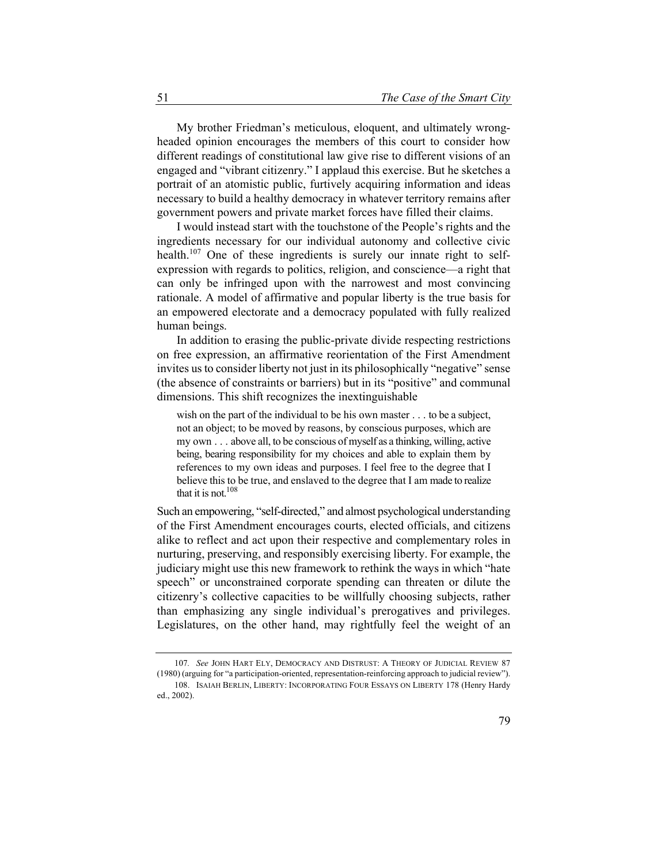My brother Friedman's meticulous, eloquent, and ultimately wrongheaded opinion encourages the members of this court to consider how different readings of constitutional law give rise to different visions of an engaged and "vibrant citizenry." I applaud this exercise. But he sketches a portrait of an atomistic public, furtively acquiring information and ideas necessary to build a healthy democracy in whatever territory remains after government powers and private market forces have filled their claims.

I would instead start with the touchstone of the People's rights and the ingredients necessary for our individual autonomy and collective civic health.<sup>107</sup> One of these ingredients is surely our innate right to selfexpression with regards to politics, religion, and conscience—a right that can only be infringed upon with the narrowest and most convincing rationale. A model of affirmative and popular liberty is the true basis for an empowered electorate and a democracy populated with fully realized human beings.

In addition to erasing the public-private divide respecting restrictions on free expression, an affirmative reorientation of the First Amendment invites us to consider liberty not just in its philosophically "negative" sense (the absence of constraints or barriers) but in its "positive" and communal dimensions. This shift recognizes the inextinguishable

wish on the part of the individual to be his own master . . . to be a subject, not an object; to be moved by reasons, by conscious purposes, which are my own . . . above all, to be conscious of myself as a thinking, willing, active being, bearing responsibility for my choices and able to explain them by references to my own ideas and purposes. I feel free to the degree that I believe this to be true, and enslaved to the degree that I am made to realize that it is not.<sup>108</sup>

Such an empowering, "self-directed," and almost psychological understanding of the First Amendment encourages courts, elected officials, and citizens alike to reflect and act upon their respective and complementary roles in nurturing, preserving, and responsibly exercising liberty. For example, the judiciary might use this new framework to rethink the ways in which "hate speech" or unconstrained corporate spending can threaten or dilute the citizenry's collective capacities to be willfully choosing subjects, rather than emphasizing any single individual's prerogatives and privileges. Legislatures, on the other hand, may rightfully feel the weight of an

<sup>107</sup>*. See* JOHN HART ELY, DEMOCRACY AND DISTRUST: A THEORY OF JUDICIAL REVIEW 87 (1980) (arguing for "a participation-oriented, representation-reinforcing approach to judicial review"). 108. ISAIAH BERLIN, LIBERTY: INCORPORATING FOUR ESSAYS ON LIBERTY 178 (Henry Hardy ed., 2002).